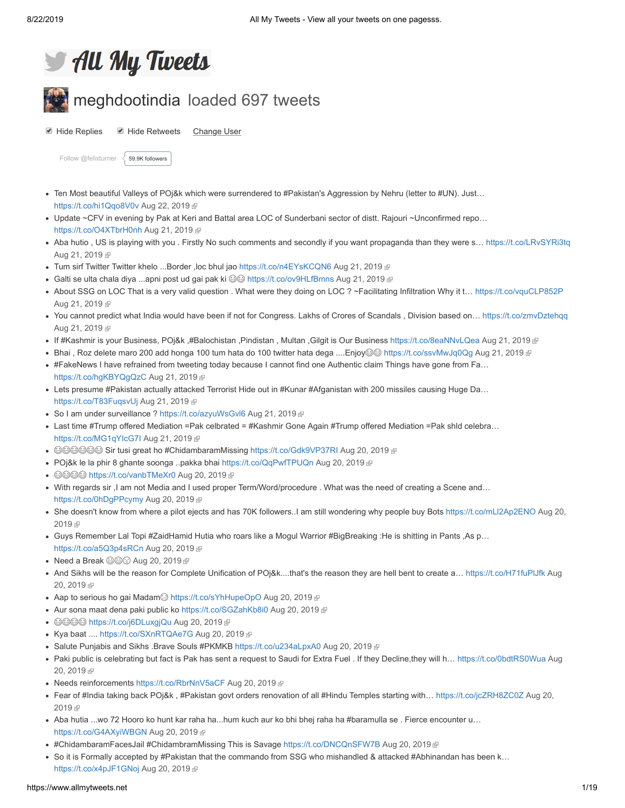

# **M** meghdootindia loaded 697 tweets

■ Hide Replies ■ Hide Retweets Change User

[Follow @felixturner](https://twitter.com/intent/follow?original_referer=https%3A%2F%2Fwww.allmytweets.net%2F&ref_src=twsrc%5Etfw®ion=follow_link&screen_name=felixturner&tw_p=followbutton)  $\langle$  [59.9K followers](https://twitter.com/intent/user?original_referer=https%3A%2F%2Fwww.allmytweets.net%2F&ref_src=twsrc%5Etfw®ion=count_link&screen_name=felixturner&tw_p=followbutton)

- Ten Most beautiful Valleys of POj&k which were surrendered to #Pakistan's Aggression by Nehru (letter to #UN). Just… [https://t.co/hi1Qqo8V0v](http://t.co/hi1Qqo8V0v) [Aug 22, 2019](https://twitter.com/meghdootindia/status/1164369779999690752) @
- Update ~CFV in evening by Pak at Keri and Battal area LOC of Sunderbani sector of distt. Rajouri ~Unconfirmed repo… [https://t.co/O4XTbrH0nh](http://t.co/O4XTbrH0nh) [Aug 21, 2019](https://twitter.com/meghdootindia/status/1164261182351351808) @
- Aba hutio, US is playing with you . Firstly No such comments and secondly if you want propaganda than they were s... [https://t.co/LRvSYRi3tq](http://t.co/LRvSYRi3tq) [Aug 21, 2019](https://twitter.com/meghdootindia/status/1164249023370280961) &
- Tum sirf Twitter Twitter khelo ...Border ,loc bhul jao [https://t.co/n4EYsKCQN6](http://t.co/n4EYsKCQN6) [Aug 21, 2019](https://twitter.com/meghdootindia/status/1164244100360523776) @
- Galti se ulta chala diya ...apni post ud gai pak ki [https://t.co/ov9HLfBmns](http://t.co/ov9HLfBmns) [Aug 21, 2019](https://twitter.com/meghdootindia/status/1164243681487884288)
- About SSG on LOC That is a very valid question . What were they doing on LOC ? ~Facilitating Infiltration Why it t… [https://t.co/vquCLP852P](http://t.co/vquCLP852P) [Aug 21, 2019](https://twitter.com/meghdootindia/status/1164242840362209281) &
- You cannot predict what India would have been if not for Congress. Lakhs of Crores of Scandals , Division based on… [https://t.co/zmvDztehqq](http://t.co/zmvDztehqq) [Aug 21, 2019](https://twitter.com/meghdootindia/status/1164237082203574272) &
- If #Kashmir is your Business, POj&k ,#Balochistan ,Pindistan , Multan ,Gilgit is Our Business [https://t.co/8eaNNvLQea](http://t.co/8eaNNvLQea) [Aug 21, 2019](https://twitter.com/meghdootindia/status/1164236124216184832) @
- Bhai, Roz delete maro 200 add honga 100 tum hata do 100 twitter hata dega ....Enjoy@@ [https://t.co/ssvMwJq0Qg](http://t.co/ssvMwJq0Qg) [Aug 21, 2019](https://twitter.com/meghdootindia/status/1164233792057253888) @
- #FakeNews I have refrained from tweeting today because I cannot find one Authentic claim Things have gone from Fa… [https://t.co/hgKBYQgQzC](http://t.co/hgKBYQgQzC) [Aug 21, 2019](https://twitter.com/meghdootindia/status/1164229476944764929)
- Lets presume #Pakistan actually attacked Terrorist Hide out in #Kunar #Afganistan with 200 missiles causing Huge Da… [https://t.co/T83FuqsvUj](http://t.co/T83FuqsvUj) [Aug 21, 2019](https://twitter.com/meghdootindia/status/1164135389767929856)
- So I am under surveillance ? [https://t.co/azyuWsGvl6](http://t.co/azyuWsGvl6) [Aug 21, 2019](https://twitter.com/meghdootindia/status/1164093501945987073) @
- Last time #Trump offered Mediation =Pak celbrated = #Kashmir Gone Again #Trump offered Mediation =Pak shld celebra… [https://t.co/MG1qYIcG7I](http://t.co/MG1qYIcG7I) [Aug 21, 2019](https://twitter.com/meghdootindia/status/1163998756834074630)
- ©©©©© Sir tusi great ho #ChidambaramMissing [https://t.co/Gdk9VP37RI](http://t.co/Gdk9VP37RI) [Aug 20, 2019](https://twitter.com/meghdootindia/status/1163892106210902016) @
- POj&k le la phir 8 ghante soonga ..pakka bhai [https://t.co/QqPwfTPUQn](http://t.co/QqPwfTPUQn) [Aug 20, 2019](https://twitter.com/meghdootindia/status/1163890030265286656)  $\oplus$
- ©©©© [https://t.co/vanbTMeXr0](http://t.co/vanbTMeXr0) [Aug 20, 2019](https://twitter.com/meghdootindia/status/1163884233699364864) @
- With regards sir ,I am not Media and I used proper Term/Word/procedure . What was the need of creating a Scene and… [https://t.co/0hDgPPcymy](http://t.co/0hDgPPcymy) [Aug 20, 2019](https://twitter.com/meghdootindia/status/1163883300328337408)
- [She doesn't know from where a pilot ejects and has 70K followers..I am still wondering why people buy Bots https://t.co/mLl2Ap2ENO](https://twitter.com/meghdootindia/status/1163880571518345216) Aug 20, 2019雨
- Guys Remember Lal Topi #ZaidHamid Hutia who roars like a Mogul Warrior #BigBreaking :He is shitting in Pants ,As p… [https://t.co/a5Q3p4sRCn](http://t.co/a5Q3p4sRCn) [Aug 20, 2019](https://twitter.com/meghdootindia/status/1163874561579839488)
- $\bullet$  Need a Break  $\circledcirc\circ\circ$  [Aug 20, 2019](https://twitter.com/meghdootindia/status/1163855645419769857)  $\circ$
- [And Sikhs will be the reason for Complete Unification of POj&k....that's the reason they are hell bent to create a… https://t.co/H71fuPlJfk](https://twitter.com/meghdootindia/status/1163852968161992705) Aug 20.2019 雨
- Aap to serious ho gai Madam ittps://t.co/sYhHupeOpO [Aug 20, 2019](https://twitter.com/meghdootindia/status/1163851817517633536) n
- Aur sona maat dena paki public ko [https://t.co/SGZahKb8i0](http://t.co/SGZahKb8i0) [Aug 20, 2019](https://twitter.com/meghdootindia/status/1163851468161478656) @
- ©©©© [https://t.co/j6DLuxgjQu](http://t.co/j6DLuxgjQu) [Aug 20, 2019](https://twitter.com/meghdootindia/status/1163851198631256064) @
- Kya baat .... [https://t.co/SXnRTQAe7G](http://t.co/SXnRTQAe7G) [Aug 20, 2019](https://twitter.com/meghdootindia/status/1163851028682268672) @
- Salute Punjabis and Sikhs .Brave Souls #PKMKB [https://t.co/u234aLpxA0](http://t.co/u234aLpxA0) [Aug 20, 2019](https://twitter.com/meghdootindia/status/1163850610401091584) @
- Paki public is celebrating but fact is Pak has sent a request to Saudi for Extra Fuel . If they Decline, they will h... https://t.co/0bdtRS0Wua Aug 20, 2019 图
- Needs reinforcements [https://t.co/RbrNnV5aCF](http://t.co/RbrNnV5aCF) [Aug 20, 2019](https://twitter.com/meghdootindia/status/1163832561522495488) @
- [Fear of #India taking back POj&k , #Pakistan govt orders renovation of all #Hindu Temples starting with… https://t.co/jcZRH8ZC0Z](https://twitter.com/meghdootindia/status/1163830841446817794) Aug 20, 2019 雨
- Aba hutia ...wo 72 Hooro ko hunt kar raha ha...hum kuch aur ko bhi bhej raha ha #baramulla se . Fierce encounter u… [https://t.co/G4AXyiWBGN](http://t.co/G4AXyiWBGN) [Aug 20, 2019](https://twitter.com/meghdootindia/status/1163826082207768577)
- #ChidambaramFacesJail #ChidambramMissing This is Savage [https://t.co/DNCQnSFW7B](http://t.co/DNCQnSFW7B) [Aug 20, 2019](https://twitter.com/meghdootindia/status/1163824990749282305) @
- So it is Formally accepted by #Pakistan that the commando from SSG who mishandled & attacked #Abhinandan has been k… [https://t.co/x4pJF1GNoj](http://t.co/x4pJF1GNoj) [Aug 20, 2019](https://twitter.com/meghdootindia/status/1163814472340738048)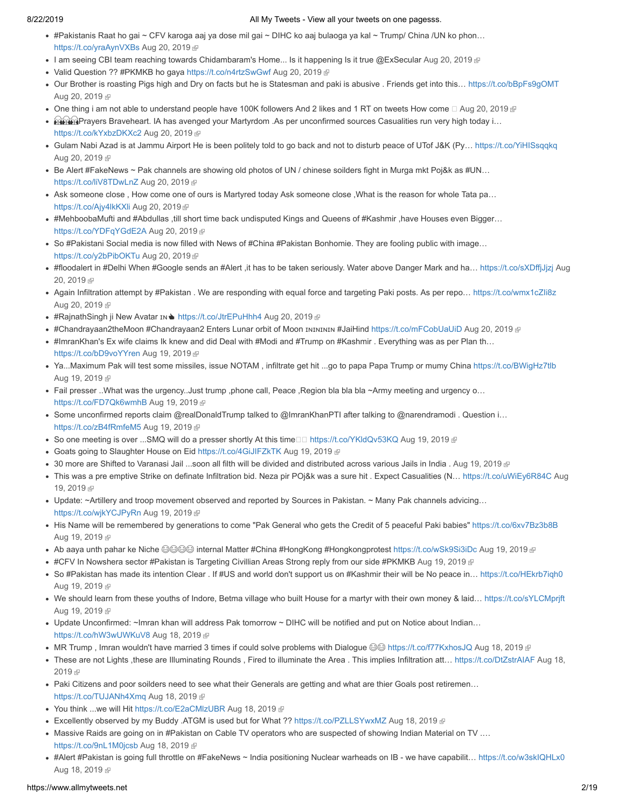- #Pakistanis Raat ho gai ~ CFV karoga aaj ya dose mil gai ~ DIHC ko aaj bulaoga ya kal ~ Trump/ China /UN ko phon… [https://t.co/yraAynVXBs](http://t.co/yraAynVXBs) [Aug 20, 2019](https://twitter.com/meghdootindia/status/1163809365092007937) &
- I am seeing CBI team reaching towards Chidambaram's Home... Is it happening Is it true @ExSecular [Aug 20, 2019](https://twitter.com/meghdootindia/status/1163807599449427968)
- Valid Question ?? #PKMKB ho gaya [https://t.co/n4rtzSwGwf](http://t.co/n4rtzSwGwf) [Aug 20, 2019](https://twitter.com/meghdootindia/status/1163785834690039808) @
- Our Brother is roasting Pigs high and Dry on facts but he is Statesman and paki is abusive . Friends get into this… [https://t.co/bBpFs9gOMT](http://t.co/bBpFs9gOMT) [Aug 20, 2019](https://twitter.com/meghdootindia/status/1163772264967331840) @
- One thing i am not able to understand people have 100K followers And 2 likes and 1 RT on tweets How come  $\Box$  [Aug 20, 2019](https://twitter.com/meghdootindia/status/1163762494898229248)  $\Box$
- **Praggior** Prayers Braveheart. IA has avenged your Martyrdom .As per unconfirmed sources Casualities run very high today i... [https://t.co/kYxbzDKXc2](http://t.co/kYxbzDKXc2) [Aug 20, 2019](https://twitter.com/meghdootindia/status/1163755847777808384)
- Gulam Nabi Azad is at Jammu Airport He is been politely told to go back and not to disturb peace of UTof J&K (Py… [https://t.co/YiHISsqqkq](http://t.co/YiHISsqqkq) [Aug 20, 2019](https://twitter.com/meghdootindia/status/1163745885878009856) @
- Be Alert #FakeNews ~ Pak channels are showing old photos of UN / chinese soilders fight in Murga mkt Poj&k as #UN… [https://t.co/liV8TDwLnZ](http://t.co/liV8TDwLnZ) [Aug 20, 2019](https://twitter.com/meghdootindia/status/1163744644867317760) 图
- Ask someone close , How come one of ours is Martyred today Ask someone close ,What is the reason for whole Tata pa… [https://t.co/Ajy4lkKXli](http://t.co/Ajy4lkKXli) [Aug 20, 2019](https://twitter.com/meghdootindia/status/1163727279400243200)
- #MehboobaMufti and #Abdullas ,till short time back undisputed Kings and Queens of #Kashmir ,have Houses even Bigger… [https://t.co/YDFqYGdE2A](http://t.co/YDFqYGdE2A) [Aug 20, 2019](https://twitter.com/meghdootindia/status/1163721520939540480)
- So #Pakistani Social media is now filled with News of #China #Pakistan Bonhomie. They are fooling public with image… [https://t.co/y2bPibOKTu](http://t.co/y2bPibOKTu) [Aug 20, 2019](https://twitter.com/meghdootindia/status/1163713643923382272)
- [#floodalert in #Delhi When #Google sends an #Alert ,it has to be taken seriously. Water above Danger Mark and ha… https://t.co/sXDffjJjzj](https://twitter.com/meghdootindia/status/1163708572183588864) Aug 20, 2019 图
- Again Infiltration attempt by #Pakistan . We are responding with equal force and targeting Paki posts. As per repo… [https://t.co/wmx1cZIi8z](http://t.co/wmx1cZIi8z) [Aug 20, 2019](https://twitter.com/meghdootindia/status/1163688136813060097) &
- #RajnathSingh ji New Avatar IN [https://t.co/JtrEPuHhh4](http://t.co/JtrEPuHhh4) [Aug 20, 2019](https://twitter.com/meghdootindia/status/1163676466288009216) <sup>®</sup>
- #Chandrayaan2theMoon #Chandrayaan2 Enters Lunar orbit of Moon #JaiHind [https://t.co/mFCobUaUiD](http://t.co/mFCobUaUiD) [Aug 20, 2019](https://twitter.com/meghdootindia/status/1163669163203653632)
- #ImranKhan's Ex wife claims Ik knew and did Deal with #Modi and #Trump on #Kashmir . Everything was as per Plan th… [https://t.co/bD9voYYren](http://t.co/bD9voYYren) [Aug 19, 2019](https://twitter.com/meghdootindia/status/1163529784577519616)
- Ya...Maximum Pak will test some missiles, issue NOTAM , infiltrate get hit ...go to papa Papa Trump or mumy China [https://t.co/BWigHz7tlb](http://t.co/BWigHz7tlb) [Aug 19, 2019](https://twitter.com/meghdootindia/status/1163524984091709440) @
- Fail presser ..What was the urgency..Just trump ,phone call, Peace ,Region bla bla bla ~Army meeting and urgency o… [https://t.co/FD7Qk6wmhB](http://t.co/FD7Qk6wmhB) [Aug 19, 2019](https://twitter.com/meghdootindia/status/1163519020085047296)
- Some unconfirmed reports claim @realDonaldTrump talked to @ImranKhanPTI after talking to @narendramodi . Question i... [https://t.co/zB4fRmfeM5](http://t.co/zB4fRmfeM5) [Aug 19, 2019](https://twitter.com/meghdootindia/status/1163514983637872640) 图
- So one meeting is over ...SMQ will do a presser shortly At this time□□ https://t.co/YKIdQv53KQ [Aug 19, 2019](https://twitter.com/meghdootindia/status/1163513316167180288) @
- Goats going to Slaughter House on Eid [https://t.co/4GiJIFZkTK](http://t.co/4GiJIFZkTK) [Aug 19, 2019](https://twitter.com/meghdootindia/status/1163500709171478528) @
- 30 more are Shifted to Varanasi Jail ...soon all filth will be divided and distributed across various Jails in India . [Aug 19, 2019](https://twitter.com/meghdootindia/status/1163497321989955584) @
- [This was a pre emptive Strike on definate Infiltration bid. Neza pir POj&k was a sure hit . Expect Casualities \(N… https://t.co/uWiEy6R84C](https://twitter.com/meghdootindia/status/1163483197100793856) Aug 19, 2019
- Update: ~Artillery and troop movement observed and reported by Sources in Pakistan. ~ Many Pak channels advicing… [https://t.co/wjkYCJPyRn](http://t.co/wjkYCJPyRn) [Aug 19, 2019](https://twitter.com/meghdootindia/status/1163452802447761408) 图
- His Name will be remembered by generations to come "Pak General who gets the Credit of 5 peaceful Paki babies" [https://t.co/6xv7Bz3b8B](http://t.co/6xv7Bz3b8B) [Aug 19, 2019](https://twitter.com/meghdootindia/status/1163421606816825344) @
- Ab aaya unth pahar ke Niche  $\bigcirc \circ \bigcirc$  internal Matter #China #HongKong #Hongkongprotest [https://t.co/wSk9Si3iDc](http://t.co/wSk9Si3iDc) [Aug 19, 2019](https://twitter.com/meghdootindia/status/1163377470554308608)
- #CFV In Nowshera sector #Pakistan is Targeting Civillian Areas Strong reply from our side #PKMKB [Aug 19, 2019](https://twitter.com/meghdootindia/status/1163329403834658821)
- So #Pakistan has made its intention Clear . If #US and world don't support us on #Kashmir their will be No peace in... [https://t.co/HEkrb7iqh0](http://t.co/HEkrb7iqh0) [Aug 19, 2019](https://twitter.com/meghdootindia/status/1163282536706895872) &
- We should learn from these youths of Indore, Betma village who built House for a martyr with their own money & laid… [https://t.co/sYLCMprjft](http://t.co/sYLCMprjft) [Aug 19, 2019](https://twitter.com/meghdootindia/status/1163276440583827462) @
- Update Unconfirmed: ~Imran khan will address Pak tomorrow ~ DIHC will be notified and put on Notice about Indian… [https://t.co/hW3wUWKuV8](http://t.co/hW3wUWKuV8) [Aug 18, 2019](https://twitter.com/meghdootindia/status/1163170663726628864) &
- MR Trump, Imran wouldn't have married 3 times if could solve problems with Dialogue  $\bigotimes$  [https://t.co/f77KxhosJQ](http://t.co/f77KxhosJQ) [Aug 18, 2019](https://twitter.com/meghdootindia/status/1163166537831739392)  $\bigotimes$
- These are not Lights ,these are Illuminating Rounds, Fired to illuminate the Area . This implies Infiltration att... https://t.co/DtZstrAIAF Aug 18, 2019
- Paki Citizens and poor soilders need to see what their Generals are getting and what are thier Goals post retiremen... [https://t.co/TUJANh4Xmq](http://t.co/TUJANh4Xmq) [Aug 18, 2019](https://twitter.com/meghdootindia/status/1163152649618771970) @
- You think ...we will Hit https://t.co/E2aCMIzUBR [Aug 18, 2019](https://twitter.com/meghdootindia/status/1163150474750468096) *®*
- Excellently observed by my Buddy .ATGM is used but for What ?? [https://t.co/PZLLSYwxMZ](http://t.co/PZLLSYwxMZ) [Aug 18, 2019](https://twitter.com/meghdootindia/status/1163149662284476416) @
- Massive Raids are going on in #Pakistan on Cable TV operators who are suspected of showing Indian Material on TV .… [https://t.co/9nL1M0jcsb](http://t.co/9nL1M0jcsb) [Aug 18, 2019](https://twitter.com/meghdootindia/status/1163133338216828930) 图
- #Alert #Pakistan is going full throttle on #FakeNews ~ India positioning Nuclear warheads on IB we have capabilit… [https://t.co/w3skIQHLx0](http://t.co/w3skIQHLx0) [Aug 18, 2019](https://twitter.com/meghdootindia/status/1163124308098445313) &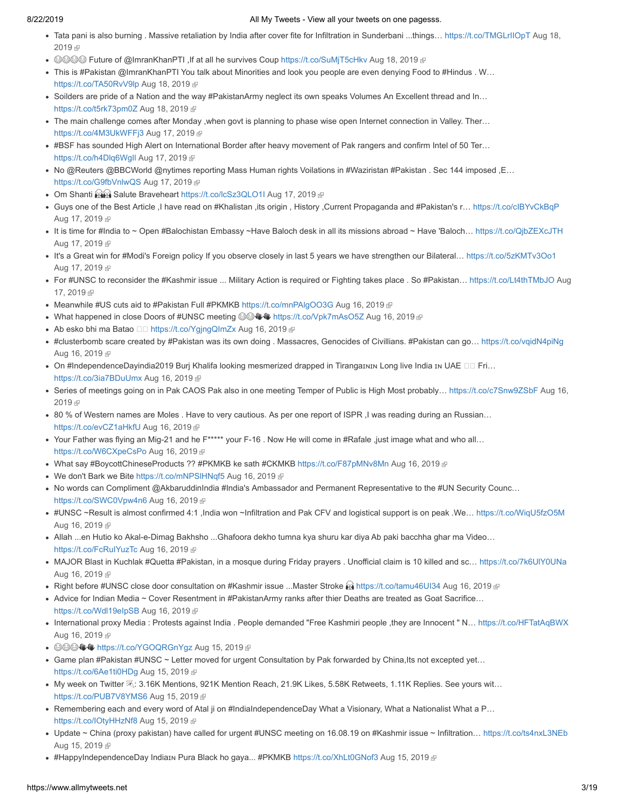- [Tata pani is also burning . Massive retaliation by India after cover fite for Infiltration in Sunderbani ...things… https://t.co/TMGLrIIOpT](https://twitter.com/meghdootindia/status/1163090274949582849) Aug 18, 2019 雨
- **©©©©** Future of @ImranKhanPTI , If at all he survives Coup [https://t.co/SuMjT5cHkv](http://t.co/SuMjT5cHkv) [Aug 18, 2019](https://twitter.com/meghdootindia/status/1163071309393223688) ®
- This is #Pakistan @ImranKhanPTI You talk about Minorities and look you people are even denying Food to #Hindus . W… [https://t.co/TA50RvV9lp](http://t.co/TA50RvV9lp) [Aug 18, 2019](https://twitter.com/meghdootindia/status/1163053651960586241)
- Soilders are pride of a Nation and the way #PakistanArmy neglect its own speaks Volumes An Excellent thread and In... [https://t.co/t5rk73pm0Z](http://t.co/t5rk73pm0Z) [Aug 18, 2019](https://twitter.com/meghdootindia/status/1162981607533191168)
- The main challenge comes after Monday ,when govt is planning to phase wise open Internet connection in Valley. Ther… [https://t.co/4M3UkWFFj3](http://t.co/4M3UkWFFj3) [Aug 17, 2019](https://twitter.com/meghdootindia/status/1162795768362622977)
- #BSF has sounded High Alert on International Border after heavy movement of Pak rangers and confirm Intel of 50 Ter… https://t.co/h4Dlq6Wgll [Aug 17, 2019](https://twitter.com/meghdootindia/status/1162777661883604992)
- . No @Reuters @BBCWorld @nytimes reporting Mass Human rights Voilations in #Waziristan #Pakistan . Sec 144 imposed ,E... [https://t.co/G9fbVnlwQS](http://t.co/G9fbVnlwQS) [Aug 17, 2019](https://twitter.com/meghdootindia/status/1162722384186449921) 图
- Om Shanti  $\mathbb{R}$  Salute Braveheart [https://t.co/lcSz3QLO1I](http://t.co/lcSz3QLO1I) [Aug 17, 2019](https://twitter.com/meghdootindia/status/1162720605747048448)  $\mathbb{R}$
- Guys one of the Best Article ,I have read on #Khalistan ,its origin , History ,Current Propaganda and #Pakistan's r… [https://t.co/cIBYvCkBqP](http://t.co/cIBYvCkBqP) [Aug 17, 2019](https://twitter.com/meghdootindia/status/1162713592837242883) @
- It is time for #India to ~ Open #Balochistan Embassy ~Have Baloch desk in all its missions abroad ~ Have 'Baloch... [https://t.co/QjbZEXcJTH](http://t.co/QjbZEXcJTH) [Aug 17, 2019](https://twitter.com/meghdootindia/status/1162651419683385347) @
- It's a Great win for #Modi's Foreign policy If you observe closely in last 5 years we have strengthen our Bilateral... [https://t.co/5zKMTv3Oo1](http://t.co/5zKMTv3Oo1) [Aug 17, 2019](https://twitter.com/meghdootindia/status/1162564680960753664) &
- For #UNSC to reconsider the #Kashmir issue ... Military Action is required or Fighting takes place . So #Pakistan... https://t.co/Lt4thTMbJO Aug 17, 2019
- Meanwhile #US cuts aid to #Pakistan Full #PKMKB [https://t.co/mnPAlgOO3G](http://t.co/mnPAlgOO3G) [Aug 16, 2019](https://twitter.com/meghdootindia/status/1162455932879564805)  $\circledR$
- What happened in close Doors of #UNSC meeting  $\circledS$  WW [https://t.co/Vpk7mAsO5Z](http://t.co/Vpk7mAsO5Z) [Aug 16, 2019](https://twitter.com/meghdootindia/status/1162438068323753984)  $\circledR$
- Ab esko bhi ma Batao  $\Box$  [https://t.co/YgjngQImZx](http://t.co/YgjngQImZx) [Aug 16, 2019](https://twitter.com/meghdootindia/status/1162432742199455744) @
- #clusterbomb scare created by #Pakistan was its own doing . Massacres, Genocides of Civillians. #Pakistan can go… [https://t.co/vqidN4piNg](http://t.co/vqidN4piNg) [Aug 16, 2019](https://twitter.com/meghdootindia/status/1162430700936548352) @
- On #IndependenceDayindia2019 Burj Khalifa looking mesmerized drapped in Tirangarnin Long live India in UAE □□ Fri... [https://t.co/3ia7BDuUmx](http://t.co/3ia7BDuUmx) [Aug 16, 2019](https://twitter.com/meghdootindia/status/1162419513490460673)
- Series of meetings going on in Pak CAOS Pak also in one meeting Temper of Public is High Most probably... https://t.co/c7Snw9ZSbF Aug 16, 2019 雨
- 80 % of Western names are Moles . Have to very cautious. As per one report of ISPR ,I was reading during an Russian… [https://t.co/evCZ1aHkfU](http://t.co/evCZ1aHkfU) [Aug 16, 2019](https://twitter.com/meghdootindia/status/1162414697531895808) ®
- Your Father was flying an Mig-21 and he F\*\*\*\*\* your F-16 . Now He will come in #Rafale ,just image what and who all… [https://t.co/W6CXpeCsPo](http://t.co/W6CXpeCsPo) [Aug 16, 2019](https://twitter.com/meghdootindia/status/1162412170623123458) @
- What say #BoycottChineseProducts ?? #PKMKB ke sath #CKMKB [https://t.co/F87pMNv8Mn](http://t.co/F87pMNv8Mn) [Aug 16, 2019](https://twitter.com/meghdootindia/status/1162410927821656064) @
- We don't Bark we Bite https://t.co/mNPSIHNqf5 [Aug 16, 2019](https://twitter.com/meghdootindia/status/1162408511852048384)
- No words can Compliment @AkbaruddinIndia #India's Ambassador and Permanent Representative to the #UN Security Counc... [https://t.co/SWC0Vpw4n6](http://t.co/SWC0Vpw4n6) [Aug 16, 2019](https://twitter.com/meghdootindia/status/1162404724143845377) @
- #UNSC ~Result is almost confirmed 4:1 ,India won ~Infiltration and Pak CFV and logistical support is on peak .We… [https://t.co/WiqU5fzO5M](http://t.co/WiqU5fzO5M) [Aug 16, 2019](https://twitter.com/meghdootindia/status/1162390267946627073) @
- Allah ...en Hutio ko Akal-e-Dimag Bakhsho ...Ghafoora dekho tumna kya shuru kar diya Ab paki bacchha ghar ma Video… [https://t.co/FcRuIYuzTc](http://t.co/FcRuIYuzTc) [Aug 16, 2019](https://twitter.com/meghdootindia/status/1162319309021970433) 图
- MAJOR Blast in Kuchlak #Quetta #Pakistan, in a mosque during Friday prayers . Unofficial claim is 10 killed and sc… [https://t.co/7k6UlY0UNa](http://t.co/7k6UlY0UNa) [Aug 16, 2019](https://twitter.com/meghdootindia/status/1162312758462799874) &
- Right before #UNSC close door consultation on #Kashmir issue ...Master Stroke **a** [https://t.co/tamu46UI34](http://t.co/tamu46UI34) [Aug 16, 2019](https://twitter.com/meghdootindia/status/1162297267400785920) @
- Advice for Indian Media ~ Cover Resentment in #PakistanArmy ranks after thier Deaths are treated as Goat Sacrifice… [https://t.co/Wdl19eIpSB](http://t.co/Wdl19eIpSB) [Aug 16, 2019](https://twitter.com/meghdootindia/status/1162272989192187909)
- International proxy Media : Protests against India . People demanded "Free Kashmiri people ,they are Innocent " N… [https://t.co/HFTatAqBWX](http://t.co/HFTatAqBWX) [Aug 16, 2019](https://twitter.com/meghdootindia/status/1162229438429270017) @
- ©©©₩₩ [https://t.co/YGOQRGnYgz](http://t.co/YGOQRGnYgz) [Aug 15, 2019](https://twitter.com/meghdootindia/status/1162088836370800641) @
- Game plan #Pakistan #UNSC ~ Letter moved for urgent Consultation by Pak forwarded by China,Its not excepted yet… [https://t.co/6Ae1ti0HDg](http://t.co/6Ae1ti0HDg) [Aug 15, 2019](https://twitter.com/meghdootindia/status/1162078754304167939)
- My week on Twitter  $\Im$ : 3.16K Mentions, 921K Mention Reach, 21.9K Likes, 5.58K Retweets, 1.11K Replies. See yours wit... [https://t.co/PUB7V8YMS6](http://t.co/PUB7V8YMS6) [Aug 15, 2019](https://twitter.com/meghdootindia/status/1162008738657644544) 配
- Remembering each and every word of Atal ji on #IndiaIndependenceDay What a Visionary, What a Nationalist What a P… [https://t.co/IOtyHHzNf8](http://t.co/IOtyHHzNf8) [Aug 15, 2019](https://twitter.com/meghdootindia/status/1161902276497121281) 图
- Update ~ China (proxy pakistan) have called for urgent #UNSC meeting on 16.08.19 on #Kashmir issue ~ Infiltration… [https://t.co/ts4nxL3NEb](http://t.co/ts4nxL3NEb) [Aug 15, 2019](https://twitter.com/meghdootindia/status/1161876047807168512) @
- #HappyIndependenceDay Indian Pura Black ho gaya... #PKMKB [https://t.co/XhLt0GNof3](http://t.co/XhLt0GNof3) [Aug 15, 2019](https://twitter.com/meghdootindia/status/1161858022550851584) ®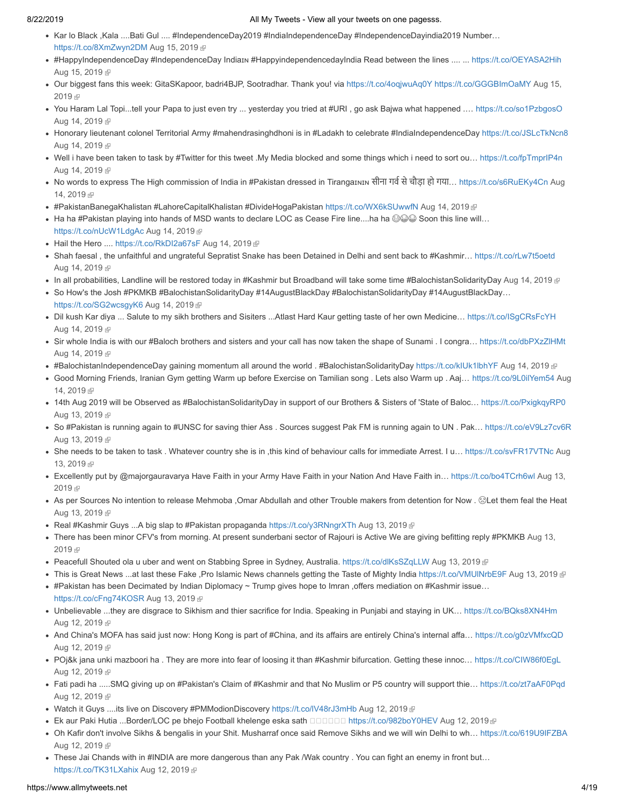- Kar lo Black ,Kala ....Bati Gul .... #IndependenceDay2019 #IndiaIndependenceDay #IndependenceDayindia2019 Number... [https://t.co/8XmZwyn2DM](http://t.co/8XmZwyn2DM) [Aug 15, 2019](https://twitter.com/meghdootindia/status/1161855957678223365)
- #HappyIndependenceDay #IndependenceDay India $n$  #HappyindependencedayIndia Read between the lines .... ... [https://t.co/OEYASA2Hih](http://t.co/OEYASA2Hih) [Aug 15, 2019](https://twitter.com/meghdootindia/status/1161855037565353985) @
- [Our biggest fans this week: GitaSKapoor, badri4BJP, Sootradhar. Thank you! via https://t.co/4oqjwuAq0Y](https://twitter.com/meghdootindia/status/1161842654994472966) [https://t.co/GGGBImOaMY](http://t.co/GGGBImOaMY) Aug 15, 2019 图
- You Haram Lal Topi...tell your Papa to just even try ... yesterday you tried at #URI , go ask Bajwa what happened .… [https://t.co/so1PzbgosO](http://t.co/so1PzbgosO) [Aug 14, 2019](https://twitter.com/meghdootindia/status/1161733894774784000) @
- Honorary lieutenant colonel Territorial Army #mahendrasinghdhoni is in #Ladakh to celebrate #IndiaIndependenceDay [https://t.co/JSLcTkNcn8](http://t.co/JSLcTkNcn8) [Aug 14, 2019](https://twitter.com/meghdootindia/status/1161718622139535361) @
- Well i have been taken to task by #Twitter for this tweet .My Media blocked and some things which i need to sort ou… [https://t.co/fpTmprIP4n](http://t.co/fpTmprIP4n) [Aug 14, 2019](https://twitter.com/meghdootindia/status/1161698139662741504) &
- [No words to express The High commission of India in #Pakistan dressed in Tiranga](https://twitter.com/meghdootindia/status/1161692367587426304)ɪʌɪn सीना गर्व से चौड़ा हो गया… [https://t.co/s6RuEKy4Cn](http://t.co/s6RuEKy4Cn) Aug 14, 2019
- #PakistanBanegaKhalistan #LahoreCapitalKhalistan #DivideHogaPakistan [https://t.co/WX6kSUwwfN](http://t.co/WX6kSUwwfN) [Aug 14, 2019](https://twitter.com/meghdootindia/status/1161647865720004608)
- Ha ha #Pakistan playing into hands of MSD wants to declare LOC as Cease Fire line....ha ha  $\otimes\otimes\otimes$  Soon this line will... [https://t.co/nUcW1LdgAc](http://t.co/nUcW1LdgAc) [Aug 14, 2019](https://twitter.com/meghdootindia/status/1161588644810854401)
- Hail the Hero .... [https://t.co/RkDI2a67sF](http://t.co/RkDI2a67sF) [Aug 14, 2019](https://twitter.com/meghdootindia/status/1161568811536936961)
- Shah faesal , the unfaithful and ungrateful Sepratist Snake has been Detained in Delhi and sent back to #Kashmir… [https://t.co/rLw7t5oetd](http://t.co/rLw7t5oetd) [Aug 14, 2019](https://twitter.com/meghdootindia/status/1161561593806594048) @
- In all probabilities, Landline will be restored today in #Kashmir but Broadband will take some time #BalochistanSolidarityDay [Aug 14, 2019](https://twitter.com/meghdootindia/status/1161555499717763072) ®
- So How's the Josh #PKMKB #BalochistanSolidarityDay #14AugustBlackDay #BalochistanSolidarityDay #14AugustBlackDay… [https://t.co/SG2wcsgyK6](http://t.co/SG2wcsgyK6) [Aug 14, 2019](https://twitter.com/meghdootindia/status/1161551844411355139)
- Dil kush Kar diya ... Salute to my sikh brothers and Sisiters ...Atlast Hard Kaur getting taste of her own Medicine… [https://t.co/ISgCRsFcYH](http://t.co/ISgCRsFcYH) [Aug 14, 2019](https://twitter.com/meghdootindia/status/1161471847667421185) @
- Sir whole India is with our #Baloch brothers and sisters and your call has now taken the shape of Sunami . I congra... [https://t.co/dbPXzZlHMt](http://t.co/dbPXzZlHMt) [Aug 14, 2019](https://twitter.com/meghdootindia/status/1161471011562278915) @
- #BalochistanIndependenceDay gaining momentum all around the world . #BalochistanSolidarityDay [https://t.co/kIUk1lbhYF](http://t.co/kIUk1lbhYF) [Aug 14, 2019](https://twitter.com/meghdootindia/status/1161458684490162177) @
- [Good Morning Friends, Iranian Gym getting Warm up before Exercise on Tamilian song . Lets also Warm up . Aaj… https://t.co/9L0ilYem54](https://twitter.com/meghdootindia/status/1161452267049906177) Aug 14, 2019 图
- 14th Aug 2019 will be Observed as #BalochistanSolidarityDay in support of our Brothers & Sisters of 'State of Baloc… [https://t.co/PxigkqyRP0](http://t.co/PxigkqyRP0) [Aug 13, 2019](https://twitter.com/meghdootindia/status/1161339235523129346) @
- So #Pakistan is running again to #UNSC for saving thier Ass . Sources suggest Pak FM is running again to UN . Pak… [https://t.co/eV9Lz7cv6R](http://t.co/eV9Lz7cv6R) [Aug 13, 2019](https://twitter.com/meghdootindia/status/1161317786708107267) @
- She needs to be taken to task. Whatever country she is in , this kind of behaviour calls for immediate Arrest. I u... https://t.co/svFR17VTNc Aug 13, 2019
- [Excellently put by @majorgauravarya Have Faith in your Army Have Faith in your Nation And Have Faith in… https://t.co/bo4TCrh6wl](https://twitter.com/meghdootindia/status/1161293665232445445) Aug 13, 2019 雨
- As per Sources No intention to release Mehmoba ,Omar Abdullah and other Trouble makers from detention for Now . Let them feal the Heat [Aug 13, 2019](https://twitter.com/meghdootindia/status/1161286279738400769) &
- Real #Kashmir Guys ...A big slap to #Pakistan propaganda [https://t.co/y3RNngrXTh](http://t.co/y3RNngrXTh) [Aug 13, 2019](https://twitter.com/meghdootindia/status/1161281247798276097)  $\oplus$
- [There has been minor CFV's from morning. At present sunderbani sector of Rajouri is Active We are giving befitting reply #PKMKB Aug 13,](https://twitter.com/meghdootindia/status/1161239029251133441) 2019 雨
- Peacefull Shouted ola u uber and went on Stabbing Spree in Sydney, Australia. [https://t.co/dlKsSZqLLW](http://t.co/dlKsSZqLLW) [Aug 13, 2019](https://twitter.com/meghdootindia/status/1161213149355241472) ®
- This is Great News ...at last these Fake ,Pro Islamic News channels getting the Taste of Mighty India https://t.co/VMUINrbE9F [Aug 13, 2019](https://twitter.com/meghdootindia/status/1161169193527463936) ®
- #Pakistan has been Decimated by Indian Diplomacy ~ Trump gives hope to Imran ,offers mediation on #Kashmir issue… [https://t.co/cFng74KOSR](http://t.co/cFng74KOSR) [Aug 13, 2019](https://twitter.com/meghdootindia/status/1161150254361657345) @
- Unbelievable ...they are disgrace to Sikhism and thier sacrifice for India. Speaking in Punjabi and staying in UK… [https://t.co/BQks8XN4Hm](http://t.co/BQks8XN4Hm) [Aug 12, 2019](https://twitter.com/meghdootindia/status/1161001291176300544) &
- And China's MOFA has said just now: Hong Kong is part of #China, and its affairs are entirely China's internal affa… [https://t.co/g0zVMfxcQD](http://t.co/g0zVMfxcQD) [Aug 12, 2019](https://twitter.com/meghdootindia/status/1160988337819176960) &
- POj&k jana unki mazboori ha . They are more into fear of loosing it than #Kashmir bifurcation. Getting these innoc... [https://t.co/CIW86f0EgL](http://t.co/CIW86f0EgL) [Aug 12, 2019](https://twitter.com/meghdootindia/status/1160959949037379596) @
- Fati padi ha .....SMQ giving up on #Pakistan's Claim of #Kashmir and that No Muslim or P5 country will support thie… [https://t.co/zt7aAF0Pqd](http://t.co/zt7aAF0Pqd) [Aug 12, 2019](https://twitter.com/meghdootindia/status/1160955508372545537) @
- Watch it Guys ....its live on Discovery #PMModionDiscovery [https://t.co/lV48rJ3mHb](http://t.co/lV48rJ3mHb) [Aug 12, 2019](https://twitter.com/meghdootindia/status/1160944723537694725) @
- Ek aur Paki Hutia ...Border/LOC pe bhejo Football khelenge eska sath **DOOOOO**https://t.co/982boY0HEV [Aug 12, 2019](https://twitter.com/meghdootindia/status/1160937183911403521) @
- Oh Kafir don't involve Sikhs & bengalis in your Shit. Musharraf once said Remove Sikhs and we will win Delhi to wh… [https://t.co/619U9IFZBA](http://t.co/619U9IFZBA) [Aug 12, 2019](https://twitter.com/meghdootindia/status/1160932158246027265) &
- These Jai Chands with in #INDIA are more dangerous than any Pak /Wak country . You can fight an enemy in front but… [https://t.co/TK31LXahix](http://t.co/TK31LXahix) [Aug 12, 2019](https://twitter.com/meghdootindia/status/1160919491078868993)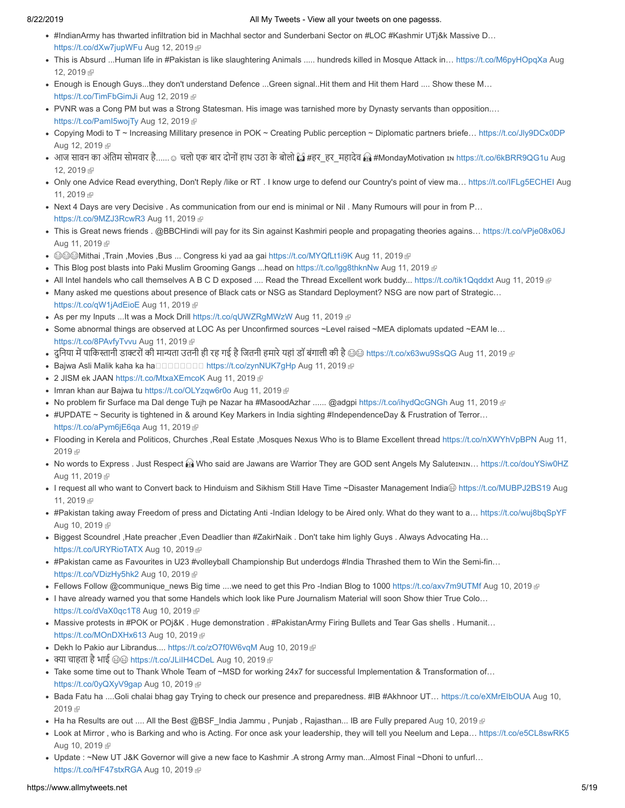- #IndianArmy has thwarted infiltration bid in Machhal sector and Sunderbani Sector on #LOC #Kashmir UTj&k Massive D… [https://t.co/dXw7jupWFu](http://t.co/dXw7jupWFu) [Aug 12, 2019](https://twitter.com/meghdootindia/status/1160905854842839040)
- [This is Absurd ...Human life in #Pakistan is like slaughtering Animals ..... hundreds killed in Mosque Attack in… https://t.co/M6pyHOpqXa](https://twitter.com/meghdootindia/status/1160903886242103300) Aug 12, 2019
- Enough is Enough Guys...they don't understand Defence ...Green signal..Hit them and Hit them Hard .... Show these M… [https://t.co/TimFbGimJi](http://t.co/TimFbGimJi) [Aug 12, 2019](https://twitter.com/meghdootindia/status/1160878966472728576)
- PVNR was a Cong PM but was a Strong Statesman. His image was tarnished more by Dynasty servants than opposition.… [https://t.co/PamI5wojTy](http://t.co/PamI5wojTy) [Aug 12, 2019](https://twitter.com/meghdootindia/status/1160799533334331398)
- Copying Modi to T ~ Increasing Millitary presence in POK ~ Creating Public perception ~ Diplomatic partners briefe... [https://t.co/Jly9DCx0DP](http://t.co/Jly9DCx0DP) [Aug 12, 2019](https://twitter.com/meghdootindia/status/1160788863154937856) @
- आज सावन का अंितम सोमवार है......☺ चलो एक बार दोनोंहाथ उठा के बोलो #हर\_हर\_महादेव #MondayMotivation [https://t.co/6kBRR9QG1u](https://twitter.com/meghdootindia/status/1160780572492324865) Aug 12, 2019
- [Only one Advice Read everything, Don't Reply /like or RT . I know urge to defend our Country's point of view ma… https://t.co/IFLg5ECHEI](https://twitter.com/meghdootindia/status/1160636845178249216) Aug 11, 2019
- Next 4 Days are very Decisive . As communication from our end is minimal or Nil . Many Rumours will pour in from P... [https://t.co/9MZJ3RcwR3](http://t.co/9MZJ3RcwR3) [Aug 11, 2019](https://twitter.com/meghdootindia/status/1160635147642761216) @
- This is Great news friends . @BBCHindi will pay for its Sin against Kashmiri people and propagating theories agains... [https://t.co/vPje08x06J](http://t.co/vPje08x06J) [Aug 11, 2019](https://twitter.com/meghdootindia/status/1160630483908120576) @
- <sup>@</sup>©<sup>©</sup>Mithai ,Train ,Movies ,Bus ... Congress ki yad aa gai [https://t.co/MYQfLt1i9K](http://t.co/MYQfLt1i9K) [Aug 11, 2019](https://twitter.com/meghdootindia/status/1160611068445487106) <sup>®</sup>
- · This Blog post blasts into Paki Muslim Grooming Gangs ...head on [https://t.co/lgg8thknNw](http://t.co/lgg8thknNw) [Aug 11, 2019](https://twitter.com/meghdootindia/status/1160560751171399681) @
- All Intel handels who call themselves A B C D exposed .... Read the Thread Excellent work buddy... [https://t.co/tik1Qqddxt](http://t.co/tik1Qqddxt) [Aug 11, 2019](https://twitter.com/meghdootindia/status/1160556907033051141)
- Many asked me questions about presence of Black cats or NSG as Standard Deployment? NSG are now part of Strategic… [https://t.co/qW1jAdEioE](http://t.co/qW1jAdEioE) [Aug 11, 2019](https://twitter.com/meghdootindia/status/1160545559268118529)
- As per my Inputs ...It was a Mock Drill [https://t.co/qUWZRgMWzW](http://t.co/qUWZRgMWzW) [Aug 11, 2019](https://twitter.com/meghdootindia/status/1160541016245460993)  $\circledR$
- Some abnormal things are observed at LOC As per Unconfirmed sources ~Level raised ~MEA diplomats updated ~EAM le... [https://t.co/8PAvfyTvvu](http://t.co/8PAvfyTvvu) [Aug 11, 2019](https://twitter.com/meghdootindia/status/1160492121129771008)
- दुनिया में पाकिस्तानी डाक्टरों की मान्यता उतनी ही रह गई है जितनी हमारे यहां डॉ बंगाली की है ⊜⊜ [https://t.co/x63wu9SsQG](http://t.co/x63wu9SsQG) [Aug 11, 2019](https://twitter.com/meghdootindia/status/1160489931094949888) @
- Bajwa Asli Malik kaha ka handunung [https://t.co/zynNUK7gHp](http://t.co/zynNUK7gHp) [Aug 11, 2019](https://twitter.com/meghdootindia/status/1160485303523540992) @
- 2 JISM ek JAAN [https://t.co/MtxaXEmcoK](http://t.co/MtxaXEmcoK) [Aug 11, 2019](https://twitter.com/meghdootindia/status/1160484176191094784)
- Imran khan aur Bajwa tu [https://t.co/OLYzqw6r0o](http://t.co/OLYzqw6r0o) [Aug 11, 2019](https://twitter.com/meghdootindia/status/1160478035994243072)
- No problem fir Surface ma Dal denge Tujh pe Nazar ha #MasoodAzhar ...... @adgpi [https://t.co/ihydQcGNGh](http://t.co/ihydQcGNGh) [Aug 11, 2019](https://twitter.com/meghdootindia/status/1160434082641149952) @
- #UPDATE ~ Security is tightened in & around Key Markers in India sighting #IndependenceDay & Frustration of Terror… [https://t.co/aPym6jE6qa](http://t.co/aPym6jE6qa) [Aug 11, 2019](https://twitter.com/meghdootindia/status/1160430858060234752)
- [Flooding in Kerela and Politicos, Churches ,Real Estate ,Mosques Nexus Who is to Blame Excellent thread https://t.co/nXWYhVpBPN](https://twitter.com/meghdootindia/status/1160424043700506624) Aug 11, 2019雨
- No words to Express . Just Respect **in** Who said are Jawans are Warrior They are GOD sent Angels My Salutennin... [https://t.co/douYSiw0HZ](http://t.co/douYSiw0HZ) [Aug 11, 2019](https://twitter.com/meghdootindia/status/1160410893500346370) @
- [I request all who want to Convert back to Hinduism and Sikhism Still Have Time ~Disaster Management India](https://twitter.com/meghdootindia/status/1160403254661926918) ittps://t.co/MUBPJ2BS19 Aug 11, 2019
- #Pakistan taking away Freedom of press and Dictating Anti -Indian Idelogy to be Aired only. What do they want to a… [https://t.co/wuj8bqSpYF](http://t.co/wuj8bqSpYF) [Aug 10, 2019](https://twitter.com/meghdootindia/status/1160269230652063744) @
- . Biggest Scoundrel ,Hate preacher ,Even Deadlier than #ZakirNaik . Don't take him lighly Guys . Always Advocating Ha... [https://t.co/URYRioTATX](http://t.co/URYRioTATX) [Aug 10, 2019](https://twitter.com/meghdootindia/status/1160262592499048448)
- #Pakistan came as Favourites in U23 #volleyball Championship But underdogs #India Thrashed them to Win the Semi-fin… [https://t.co/VDizHy5hk2](http://t.co/VDizHy5hk2) [Aug 10, 2019](https://twitter.com/meghdootindia/status/1160260691984408576)
- Fellows Follow @communique news Big time ....we need to get this Pro -Indian Blog to 1000 [https://t.co/axv7m9UTMf](http://t.co/axv7m9UTMf) [Aug 10, 2019](https://twitter.com/meghdootindia/status/1160254375316488192) @
- I have already warned you that some Handels which look like Pure Journalism Material will soon Show thier True Colo... [https://t.co/dVaX0qc1T8](http://t.co/dVaX0qc1T8) [Aug 10, 2019](https://twitter.com/meghdootindia/status/1160203984780451840)
- Massive protests in #POK or POj&K . Huge demonstration . #PakistanArmy Firing Bullets and Tear Gas shells . Humanit… [https://t.co/MOnDXHx613](http://t.co/MOnDXHx613) [Aug 10, 2019](https://twitter.com/meghdootindia/status/1160182873124560897) @
- Dekh lo Pakio aur Librandus.... [https://t.co/zO7f0W6vqM](http://t.co/zO7f0W6vqM) [Aug 10, 2019](https://twitter.com/meghdootindia/status/1160127874516451328)
- क्या चाहता है भाई ⊜⊜ [https://t.co/JLiIH4CDeL](http://t.co/JLiIH4CDeL) [Aug 10, 2019](https://twitter.com/meghdootindia/status/1160113164303753217) ®
- Take some time out to Thank Whole Team of ~MSD for working 24x7 for successful Implementation & Transformation of... [https://t.co/0yQXyV9gap](http://t.co/0yQXyV9gap) [Aug 10, 2019](https://twitter.com/meghdootindia/status/1160109019022811136)
- Bada Fatu ha ....Goli chalai bhag gay Trying to check our presence and preparedness. #IB #Akhnoor UT... https://t.co/eXMrEIbOUA Aug 10, 2019雨
- Ha ha Results are out .... All the Best @BSF\_India Jammu , Punjab , Rajasthan... IB are Fully prepared [Aug 10, 2019](https://twitter.com/meghdootindia/status/1160055539092471808)  $\oplus$
- Look at Mirror , who is Barking and who is Acting. For once ask your leadership, they will tell you Neelum and Lepa… [https://t.co/e5CL8swRK5](http://t.co/e5CL8swRK5) [Aug 10, 2019](https://twitter.com/meghdootindia/status/1160046968409710595) &
- Update : ~New UT J&K Governor will give a new face to Kashmir .A strong Army man...Almost Final ~Dhoni to unfurl… [https://t.co/HF47stxRGA](http://t.co/HF47stxRGA) [Aug 10, 2019](https://twitter.com/meghdootindia/status/1160044188789927936) ®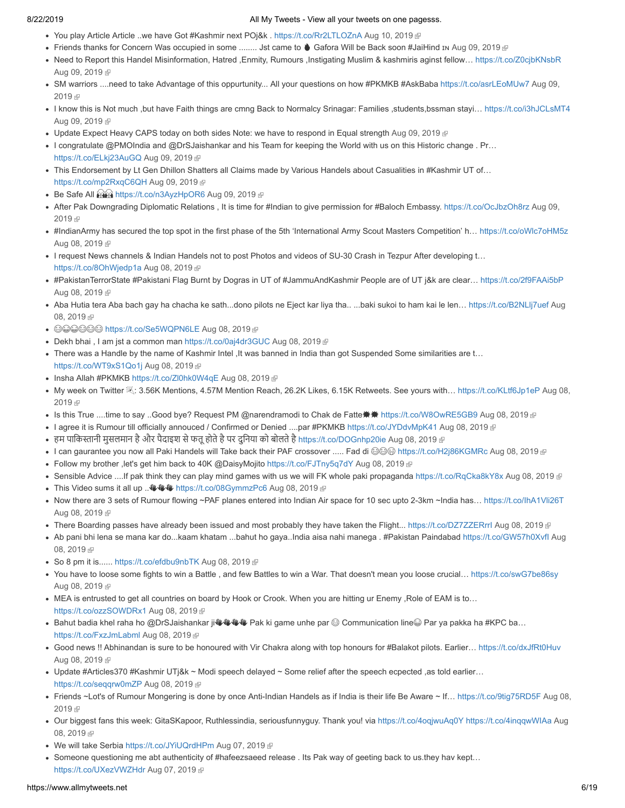- You play Article Article ..we have Got #Kashmir next POj&k . [https://t.co/Rr2LTLOZnA](http://t.co/Rr2LTLOZnA) [Aug 10, 2019](https://twitter.com/meghdootindia/status/1160042225062961152) n
- Friends thanks for Concern Was occupied in some ........ Jst came to  $\blacklozenge$  Gafora Will be Back soon #JaiHind In [Aug 09, 2019](https://twitter.com/meghdootindia/status/1159884427444383744)  $\textcirclede$
- Need to Report this Handel Misinformation, Hatred ,Enmity, Rumours ,Instigating Muslim & kashmiris aginst fellow... [https://t.co/Z0cjbKNsbR](http://t.co/Z0cjbKNsbR) [Aug 09, 2019](https://twitter.com/meghdootindia/status/1159759589195177984) &
- [SM warriors ....need to take Advantage of this oppurtunity... All your questions on how #PKMKB #AskBaba https://t.co/asrLEoMUw7](https://twitter.com/meghdootindia/status/1159744442976178176) Aug 09, 2019 配
- I know this is Not much ,but have Faith things are cmng Back to Normalcy Srinagar: Families ,students,bssman stayi... [https://t.co/i3hJCLsMT4](http://t.co/i3hJCLsMT4) [Aug 09, 2019](https://twitter.com/meghdootindia/status/1159720549209128962) @
- Update Expect Heavy CAPS today on both sides Note: we have to respond in Equal strength [Aug 09, 2019](https://twitter.com/meghdootindia/status/1159718190273814528)
- I congratulate @PMOIndia and @DrSJaishankar and his Team for keeping the World with us on this Historic change . Pr… [https://t.co/ELkj23AuGQ](http://t.co/ELkj23AuGQ) [Aug 09, 2019](https://twitter.com/meghdootindia/status/1159689476563595264) 图
- This Endorsement by Lt Gen Dhillon Shatters all Claims made by Various Handels about Casualities in #Kashmir UT of… [https://t.co/mp2RxqC6QH](http://t.co/mp2RxqC6QH) [Aug 09, 2019](https://twitter.com/meghdootindia/status/1159670051244392448)
- $\bullet$  Be Safe All  $\{$  [https://t.co/n3AyzHpOR6](http://t.co/n3AyzHpOR6) [Aug 09, 2019](https://twitter.com/meghdootindia/status/1159663610324328449)
- [After Pak Downgrading Diplomatic Relations , It is time for #Indian to give permission for #Baloch Embassy. https://t.co/OcJbzOh8rz](https://twitter.com/meghdootindia/status/1159649455701807104) Aug 09, 2019 雨
- #IndianArmy has secured the top spot in the first phase of the 5th 'International Army Scout Masters Competition' h… [https://t.co/oWlc7oHM5z](http://t.co/oWlc7oHM5z) [Aug 08, 2019](https://twitter.com/meghdootindia/status/1159546757799301120) @
- I request News channels & Indian Handels not to post Photos and videos of SU-30 Crash in Tezpur After developing t… [https://t.co/8OhWjedp1a](http://t.co/8OhWjedp1a) [Aug 08, 2019](https://twitter.com/meghdootindia/status/1159502535138217989)
- #PakistanTerrorState #Pakistani Flag Burnt by Dogras in UT of #JammuAndKashmir People are of UT j&k are clear… [https://t.co/2f9FAAi5bP](http://t.co/2f9FAAi5bP) [Aug 08, 2019](https://twitter.com/meghdootindia/status/1159499584508272641) @
- [Aba Hutia tera Aba bach gay ha chacha ke sath...dono pilots ne Eject kar liya tha.. ...baki sukoi to ham kai le len… https://t.co/B2NLlj7uef](https://twitter.com/meghdootindia/status/1159496438327345152) Aug 08. 2019 图
- ©©©©© [https://t.co/Se5WQPN6LE](http://t.co/Se5WQPN6LE) [Aug 08, 2019](https://twitter.com/meghdootindia/status/1159495176458395648) @
- Dekh bhai, I am jst a common man [https://t.co/0aj4dr3GUC](http://t.co/0aj4dr3GUC) [Aug 08, 2019](https://twitter.com/meghdootindia/status/1159488629372121088) $\mathbb{P}$
- There was a Handle by the name of Kashmir Intel ,It was banned in India than got Suspended Some similarities are t… [https://t.co/WT9xS1Qo1j](http://t.co/WT9xS1Qo1j) [Aug 08, 2019](https://twitter.com/meghdootindia/status/1159487770554880000)
- Insha Allah #PKMKB [https://t.co/Zl0hk0W4qE](http://t.co/Zl0hk0W4qE) [Aug 08, 2019](https://twitter.com/meghdootindia/status/1159486330289606656)
- My week on Twitter  $\Im$ : 3.56K Mentions, 4.57M Mention Reach, 26.2K Likes, 6.15K Retweets. See yours with... https://t.co/KLtf6Jp1eP Aug 08, 2019 雨
- Is this True ....time to say ..Good bye? Request PM @narendramodi to Chak de Fatte \*\* [https://t.co/W8OwRE5GB9](http://t.co/W8OwRE5GB9) [Aug 08, 2019](https://twitter.com/meghdootindia/status/1159470778452074496) @
- I agree it is Rumour till officially annouced / Confirmed or Denied ....par #PKMKB [https://t.co/JYDdvMpK41](http://t.co/JYDdvMpK41) [Aug 08, 2019](https://twitter.com/meghdootindia/status/1159463555348828160) @
- हम पाकिस्तानी मुसलमान है और पैदाइश से फतू होते है पर दुनिया को बोलते है [https://t.co/DOGnhp20ie](http://t.co/DOGnhp20ie) [Aug 08, 2019](https://twitter.com/meghdootindia/status/1159456739420327936) @
- I can gaurantee you now all Paki Handels will Take back their PAF crossover ..... Fad di  $\circledcirc\circledcirc$  [https://t.co/H2j86KGMRc](http://t.co/H2j86KGMRc) [Aug 08, 2019](https://twitter.com/meghdootindia/status/1159451164275924992)  $\circledcirc$
- Follow my brother , let's get him back to 40K @DaisyMojito [https://t.co/FJTny5q7dY](http://t.co/FJTny5q7dY) [Aug 08, 2019](https://twitter.com/meghdootindia/status/1159448377722978304) ®
- Sensible Advice ....If pak think they can play mind games with us we will FK whole paki propaganda [https://t.co/RqCka8kY8x](http://t.co/RqCka8kY8x) [Aug 08, 2019](https://twitter.com/meghdootindia/status/1159422187003977730) @
- This Video sums it all up .. \* \* \* [https://t.co/08GymmzPc6](http://t.co/08GymmzPc6) [Aug 08, 2019](https://twitter.com/meghdootindia/status/1159417532056395777) ®
- Now there are 3 sets of Rumour flowing ~PAF planes entered into Indian Air space for 10 sec upto 2-3km ~India has... https://t.co/lhA1Vli26T [Aug 08, 2019](https://twitter.com/meghdootindia/status/1159408938162372608) @
- There Boarding passes have already been issued and most probably they have taken the Flight... [https://t.co/DZ7ZZERrrI](http://t.co/DZ7ZZERrrI) [Aug 08, 2019](https://twitter.com/meghdootindia/status/1159397549599424518)
- [Ab pani bhi lena se mana kar do...kaam khatam ...bahut ho gaya..India aisa nahi manega . #Pakistan Paindabad https://t.co/GW57h0XvfI](https://twitter.com/meghdootindia/status/1159394076938031105) Aug 08, 2019
- So 8 pm it is...... [https://t.co/efdbu9nbTK](http://t.co/efdbu9nbTK) [Aug 08, 2019](https://twitter.com/meghdootindia/status/1159390100716867584) @
- You have to loose some fights to win a Battle , and few Battles to win a War. That doesn't mean you loose crucial… [https://t.co/swG7be86sy](http://t.co/swG7be86sy) [Aug 08, 2019](https://twitter.com/meghdootindia/status/1159388658677342208) &
- MEA is entrusted to get all countries on board by Hook or Crook. When you are hitting ur Enemy ,Role of EAM is to… [https://t.co/ozzSOWDRx1](http://t.co/ozzSOWDRx1) [Aug 08, 2019](https://twitter.com/meghdootindia/status/1159385867628105729)
- Bahut badia khel raha ho @DrSJaishankar ji VVVV Pak ki game unhe par ⊜ Communication line Par ya pakka ha #KPC ba... [https://t.co/FxzJmLabml](http://t.co/FxzJmLabml) [Aug 08, 2019](https://twitter.com/meghdootindia/status/1159380557110763521)
- Good news !! Abhinandan is sure to be honoured with Vir Chakra along with top honours for #Balakot pilots. Earlier… [https://t.co/dxJfRt0Huv](http://t.co/dxJfRt0Huv) [Aug 08, 2019](https://twitter.com/meghdootindia/status/1159368555281805312) @
- Update #Articles370 #Kashmir UTj&k ~ Modi speech delayed ~ Some relief after the speech ecpected ,as told earlier... [https://t.co/seqqrw0mZP](http://t.co/seqqrw0mZP) [Aug 08, 2019](https://twitter.com/meghdootindia/status/1159353902904438785)
- [Friends ~Lot's of Rumour Mongering is done by once Anti-Indian Handels as if India is their life Be Aware ~ If… https://t.co/9tig75RD5F](https://twitter.com/meghdootindia/status/1159344425681555456) Aug 08, 2019
- [Our biggest fans this week: GitaSKapoor, Ruthlessindia, seriousfunnyguy. Thank you! via https://t.co/4oqjwuAq0Y](https://twitter.com/meghdootindia/status/1159305875217158144) [https://t.co/4inqqwWIAa](http://t.co/4inqqwWIAa) Aug 08, 2019
- We will take Serbia [https://t.co/JYiUQrdHPm](http://t.co/JYiUQrdHPm) [Aug 07, 2019](https://twitter.com/meghdootindia/status/1159188318904410112)
- Someone questioning me abt authenticity of #hafeezsaeed release . Its Pak way of geeting back to us.they hav kept… [https://t.co/UXezVWZHdr](http://t.co/UXezVWZHdr) [Aug 07, 2019](https://twitter.com/meghdootindia/status/1159184648271880192)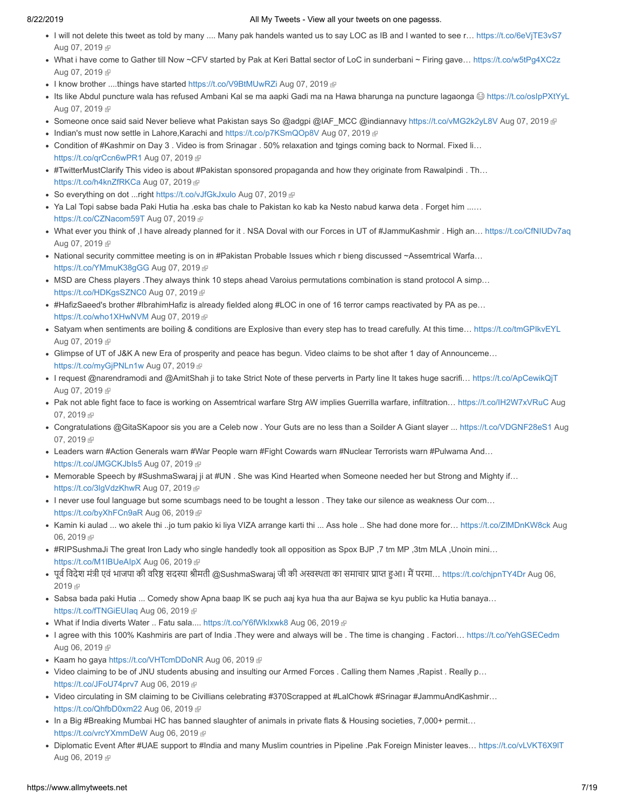- I will not delete this tweet as told by many .... Many pak handels wanted us to say LOC as IB and I wanted to see r... [https://t.co/6eVjTE3vS7](http://t.co/6eVjTE3vS7) [Aug 07, 2019](https://twitter.com/meghdootindia/status/1159176116843630592) &
- What i have come to Gather till Now ~CFV started by Pak at Keri Battal sector of LoC in sunderbani ~ Firing gave... [https://t.co/w5tPg4XC2z](http://t.co/w5tPg4XC2z) [Aug 07, 2019](https://twitter.com/meghdootindia/status/1159167255466221568) @
- I know brother ....things have started [https://t.co/V9BtMUwRZi](http://t.co/V9BtMUwRZi) [Aug 07, 2019](https://twitter.com/meghdootindia/status/1159152040603373568) @
- Its like Abdul puncture wala has refused Ambani Kal se ma aapki Gadi ma na Hawa bharunga na puncture lagaonga ⊜ [https://t.co/osIpPXtYyL](http://t.co/osIpPXtYyL) [Aug 07, 2019](https://twitter.com/meghdootindia/status/1159143349338566656) @
- Someone once said said Never believe what Pakistan says So @adgpi @IAF\_MCC @indiannavy [https://t.co/vMG2k2yL8V](http://t.co/vMG2k2yL8V) [Aug 07, 2019](https://twitter.com/meghdootindia/status/1159139165050552320) @
- Indian's must now settle in Lahore, Karachi and [https://t.co/p7KSmQOp8V](http://t.co/p7KSmQOp8V) [Aug 07, 2019](https://twitter.com/meghdootindia/status/1159133240365424645)
- Condition of #Kashmir on Day 3 . Video is from Srinagar . 50% relaxation and tgings coming back to Normal. Fixed li… [https://t.co/qrCcn6wPR1](http://t.co/qrCcn6wPR1) [Aug 07, 2019](https://twitter.com/meghdootindia/status/1159122801053163520) 图
- #TwitterMustClarify This video is about #Pakistan sponsored propaganda and how they originate from Rawalpindi . Th… [https://t.co/h4knZfRKCa](http://t.co/h4knZfRKCa) [Aug 07, 2019](https://twitter.com/meghdootindia/status/1159120336509702144) @
- So everything on dot ...right [https://t.co/vJfGkJxulo](http://t.co/vJfGkJxulo) [Aug 07, 2019](https://twitter.com/meghdootindia/status/1159111127793467392) @
- Ya Lal Topi sabse bada Paki Hutia ha .eska bas chale to Pakistan ko kab ka Nesto nabud karwa deta . Forget him ...… [https://t.co/CZNacom59T](http://t.co/CZNacom59T) [Aug 07, 2019](https://twitter.com/meghdootindia/status/1159082325419819009)
- What ever you think of ,I have already planned for it . NSA Doval with our Forces in UT of #JammuKashmir . High an… [https://t.co/CfNIUDv7aq](http://t.co/CfNIUDv7aq) [Aug 07, 2019](https://twitter.com/meghdootindia/status/1159069630192738304) @
- National security committee meeting is on in #Pakistan Probable Issues which r bieng discussed ~Assemtrical Warfa... [https://t.co/YMmuK38gGG](http://t.co/YMmuK38gGG) [Aug 07, 2019](https://twitter.com/meghdootindia/status/1159064854868586496)
- MSD are Chess players .They always think 10 steps ahead Varoius permutations combination is stand protocol A simp… [https://t.co/HDKgsSZNC0](http://t.co/HDKgsSZNC0) [Aug 07, 2019](https://twitter.com/meghdootindia/status/1159051572506030084)
- #HafizSaeed's brother #IbrahimHafiz is already fielded along #LOC in one of 16 terror camps reactivated by PA as pe… [https://t.co/who1XHwNVM](http://t.co/who1XHwNVM) [Aug 07, 2019](https://twitter.com/meghdootindia/status/1159023832096624640)
- Satyam when sentiments are boiling & conditions are Explosive than every step has to tread carefully. At this time... [https://t.co/tmGPIkvEYL](http://t.co/tmGPIkvEYL) [Aug 07, 2019](https://twitter.com/meghdootindia/status/1159014037847302144) @
- Glimpse of UT of J&K A new Era of prosperity and peace has begun. Video claims to be shot after 1 day of Announceme… [https://t.co/myGjPNLn1w](http://t.co/myGjPNLn1w) [Aug 07, 2019](https://twitter.com/meghdootindia/status/1159000280647606273)
- I request @narendramodi and @AmitShah ji to take Strict Note of these perverts in Party line It takes huge sacrifi... [https://t.co/ApCewikQjT](http://t.co/ApCewikQjT) [Aug 07, 2019](https://twitter.com/meghdootindia/status/1158994023136165891) @
- Pak not able fight face to face is working on Assemtrical warfare Strg AW implies Guerrilla warfare, infiltration... https://t.co/IH2W7xVRuC Aug 07, 2019
- [Congratulations @GitaSKapoor sis you are a Celeb now . Your Guts are no less than a Soilder A Giant slayer ... https://t.co/VDGNF28eS1](https://twitter.com/meghdootindia/status/1158974723436400642) Aug 07, 2019
- Leaders warn #Action Generals warn #War People warn #Fight Cowards warn #Nuclear Terrorists warn #Pulwama And… [https://t.co/JMGCKJbIs5](http://t.co/JMGCKJbIs5) [Aug 07, 2019](https://twitter.com/meghdootindia/status/1158938654741422082) 图
- Memorable Speech by #SushmaSwaraj ji at #UN . She was Kind Hearted when Someone needed her but Strong and Mighty if... [https://t.co/3lgVdzKhwR](http://t.co/3lgVdzKhwR) [Aug 07, 2019](https://twitter.com/meghdootindia/status/1158923843932569600)
- I never use foul language but some scumbags need to be tought a lesson . They take our silence as weakness Our com... [https://t.co/byXhFCn9aR](http://t.co/byXhFCn9aR) [Aug 06, 2019](https://twitter.com/meghdootindia/status/1158812119778779136)
- Kamin ki aulad ... wo akele thi ..jo tum pakio ki liya VIZA arrange karti thi ... Ass hole .. She had done more for... https://t.co/ZIMDnKW8ck Aug 06, 2019
- #RIPSushmaJi The great Iron Lady who single handedly took all opposition as Spox BJP ,7 tm MP ,3tm MLA ,Unoin mini… https://t.co/M1IBUeAlpX [Aug 06, 2019](https://twitter.com/meghdootindia/status/1158799121924280320) 图
- पूर्व विदेश मंत्री एवं भाजपा की वरिष्ठ सदस्या श्रीमती @SushmaSwaraj जी की अस्वस्थता का समाचार प्राप्त हुआ। मैं परमा[… https://t.co/chjpnTY4Dr](https://twitter.com/meghdootindia/status/1158795965970563072) Aug 06, 2019
- Sabsa bada paki Hutia ... Comedy show Apna baap IK se puch aaj kya hua tha aur Bajwa se kyu public ka Hutia banaya... [https://t.co/fTNGiEUIaq](http://t.co/fTNGiEUIaq) [Aug 06, 2019](https://twitter.com/meghdootindia/status/1158764553938731008) 图
- What if India diverts Water .. Fatu sala.... [https://t.co/Y6fWkIxwk8](http://t.co/Y6fWkIxwk8) [Aug 06, 2019](https://twitter.com/meghdootindia/status/1158756012733739008)
- I agree with this 100% Kashmiris are part of India .They were and always will be . The time is changing . Factori... [https://t.co/YehGSECedm](http://t.co/YehGSECedm) [Aug 06, 2019](https://twitter.com/meghdootindia/status/1158754963184472065) &
- $\bullet$  Kaam ho gaya [https://t.co/VHTcmDDoNR](http://t.co/VHTcmDDoNR) [Aug 06, 2019](https://twitter.com/meghdootindia/status/1158742280083132416)
- Video claiming to be of JNU students abusing and insulting our Armed Forces . Calling them Names ,Rapist . Really p… [https://t.co/JFoU74prv7](http://t.co/JFoU74prv7) [Aug 06, 2019](https://twitter.com/meghdootindia/status/1158739689509015552)
- Video circulating in SM claiming to be Civillians celebrating #370Scrapped at #LalChowk #Srinagar #JammuAndKashmir… [https://t.co/QhfbD0xm22](http://t.co/QhfbD0xm22) [Aug 06, 2019](https://twitter.com/meghdootindia/status/1158728075078594567)
- In a Big #Breaking Mumbai HC has banned slaughter of animals in private flats & Housing societies, 7,000+ permit... [https://t.co/vrcYXmmDeW](http://t.co/vrcYXmmDeW) [Aug 06, 2019](https://twitter.com/meghdootindia/status/1158719489526992896)
- Diplomatic Event After #UAE support to #India and many Muslim countries in Pipeline .Pak Foreign Minister leaves… [https://t.co/vLVKT6X9lT](http://t.co/vLVKT6X9lT) [Aug 06, 2019](https://twitter.com/meghdootindia/status/1158716949985034240) @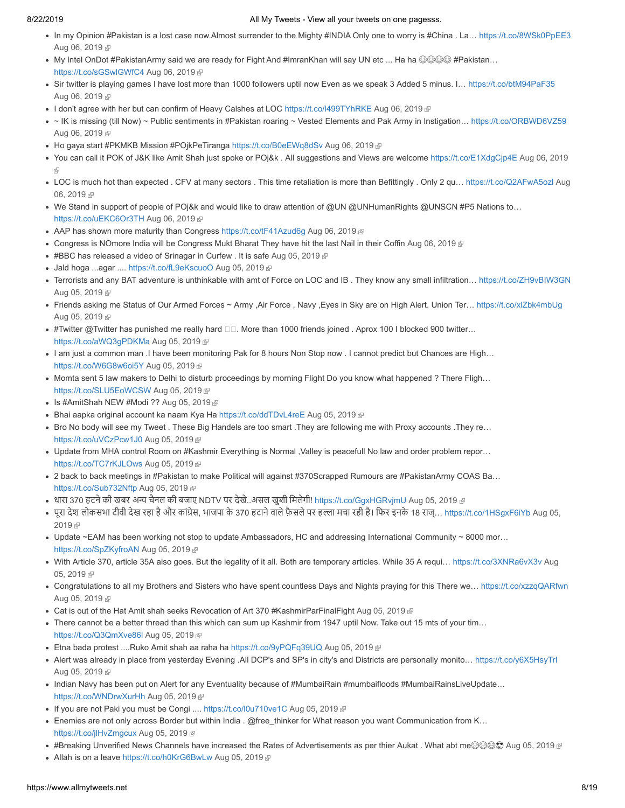- In my Opinion #Pakistan is a lost case now.Almost surrender to the Mighty #INDIA Only one to worry is #China . La... [https://t.co/8WSk0PpEE3](http://t.co/8WSk0PpEE3) [Aug 06, 2019](https://twitter.com/meghdootindia/status/1158712749859332097) @
- My Intel OnDot #PakistanArmy said we are ready for Fight And #ImranKhan will say UN etc ... Ha ha  $\otimes \otimes \otimes$ #Pakistan... [https://t.co/sGSwlGWfC4](http://t.co/sGSwlGWfC4) [Aug 06, 2019](https://twitter.com/meghdootindia/status/1158707542131740674)
- Sir twitter is playing games I have lost more than 1000 followers uptil now Even as we speak 3 Added 5 minus. I... [https://t.co/btM94PaF35](http://t.co/btM94PaF35) [Aug 06, 2019](https://twitter.com/meghdootindia/status/1158659514393976835)
- I don't agree with her but can confirm of Heavy Calshes at LOC [https://t.co/l499TYhRKE](http://t.co/l499TYhRKE) [Aug 06, 2019](https://twitter.com/meghdootindia/status/1158658000908800000) @
- ~ IK is missing (till Now) ~ Public sentiments in #Pakistan roaring ~ Vested Elements and Pak Army in Instigation… [https://t.co/ORBWD6VZ59](http://t.co/ORBWD6VZ59) [Aug 06, 2019](https://twitter.com/meghdootindia/status/1158657007659839488) &
- Ho gaya start #PKMKB Mission #POjkPeTiranga [https://t.co/B0eEWq8dSv](http://t.co/B0eEWq8dSv) [Aug 06, 2019](https://twitter.com/meghdootindia/status/1158653645115625472)  $\circledR$
- [You can call it POK of J&K like Amit Shah just spoke or POj&k . All suggestions and Views are welcome https://t.co/E1XdgCjp4E](https://twitter.com/meghdootindia/status/1158652186047369216) Aug 06, 2019
- [LOC is much hot than expected . CFV at many sectors . This time retaliation is more than Befittingly . Only 2 qu… https://t.co/Q2AFwA5ozl](https://twitter.com/meghdootindia/status/1158641042289090561) Aug 06.2019 图
- · We Stand in support of people of POj&k and would like to draw attention of @UN @UNHumanRights @UNSCN #P5 Nations to... [https://t.co/uEKC6Or3TH](http://t.co/uEKC6Or3TH) [Aug 06, 2019](https://twitter.com/meghdootindia/status/1158635976287084544)
- AAP has shown more maturity than Congress [https://t.co/tF41Azud6g](http://t.co/tF41Azud6g) [Aug 06, 2019](https://twitter.com/meghdootindia/status/1158631481624842240)  $\mathbb{F}$
- Congress is NOmore India will be Congress Mukt Bharat They have hit the last Nail in their Coffin [Aug 06, 2019](https://twitter.com/meghdootindia/status/1158629755102486529) @
- #BBC has released a video of Srinagar in Curfew . It is safe [Aug 05, 2019](https://twitter.com/meghdootindia/status/1158455965584244736)
- Jald hoga ...agar .... [https://t.co/fL9eKscuoO](http://t.co/fL9eKscuoO) [Aug 05, 2019](https://twitter.com/meghdootindia/status/1158448084633808899) @
- Terrorists and any BAT adventure is unthinkable with amt of Force on LOC and IB . They know any small infiltration… [https://t.co/ZH9vBIW3GN](http://t.co/ZH9vBIW3GN) [Aug 05, 2019](https://twitter.com/meghdootindia/status/1158440487453257728) @
- Friends asking me Status of Our Armed Forces ~ Army ,Air Force , Navy ,Eyes in Sky are on High Alert. Union Ter… [https://t.co/xlZbk4mbUg](http://t.co/xlZbk4mbUg) [Aug 05, 2019](https://twitter.com/meghdootindia/status/1158438488116617216) @
- $\bullet$  #Twitter @Twitter has punished me really hard  $\Box \Box$ . More than 1000 friends joined . Aprox 100 I blocked 900 twitter... [https://t.co/aWQ3gPDKMa](http://t.co/aWQ3gPDKMa) [Aug 05, 2019](https://twitter.com/meghdootindia/status/1158422945561055233)
- I am just a common man .I have been monitoring Pak for 8 hours Non Stop now . I cannot predict but Chances are High... [https://t.co/W6G8w6oi5Y](http://t.co/W6G8w6oi5Y) [Aug 05, 2019](https://twitter.com/meghdootindia/status/1158412973410406400)
- Momta sent 5 law makers to Delhi to disturb proceedings by morning Flight Do you know what happened ? There Fligh... [https://t.co/SLU5EoWCSW](http://t.co/SLU5EoWCSW) [Aug 05, 2019](https://twitter.com/meghdootindia/status/1158369233056587777)
- Is #AmitShah NEW #Modi ?? [Aug 05, 2019](https://twitter.com/meghdootindia/status/1158362035932897281) <sup>®</sup>
- Bhai aapka original account ka naam Kya Ha [https://t.co/ddTDvL4reE](http://t.co/ddTDvL4reE) [Aug 05, 2019](https://twitter.com/meghdootindia/status/1158331308176625664)  $\mathbb P$
- Bro No body will see my Tweet . These Big Handels are too smart .They are following me with Proxy accounts .They re… [https://t.co/uVCzPcw1J0](http://t.co/uVCzPcw1J0) [Aug 05, 2019](https://twitter.com/meghdootindia/status/1158324066165542912)
- Update from MHA control Room on #Kashmir Everything is Normal ,Valley is peacefull No law and order problem repor… [https://t.co/TC7rKJLOws](http://t.co/TC7rKJLOws) [Aug 05, 2019](https://twitter.com/meghdootindia/status/1158321526485110784)
- 2 back to back meetings in #Pakistan to make Political will against #370Scrapped Rumours are #PakistanArmy COAS Ba… [https://t.co/Sub732Nftp](http://t.co/Sub732Nftp) [Aug 05, 2019](https://twitter.com/meghdootindia/status/1158318293788188672)
- धारा 370 हटने की खबर अन्य चैनल की बजाए NDTV पर देखे..असल खुशी मिलेगी! [https://t.co/GgxHGRvjmU](http://t.co/GgxHGRvjmU) [Aug 05, 2019](https://twitter.com/meghdootindia/status/1158290694621896704) @
- पूरा देश लोकसभा टीवी देख रहा है और कांग्रेस, भाजपा के 370 हटाने वाले फ़ैसले पर हल्ला मचा रही है। फिर इनके 18 राज्[… https://t.co/1HSgxF6iYb](https://twitter.com/meghdootindia/status/1158290095683719168) Aug 05, 2019 图
- Update ~EAM has been working not stop to update Ambassadors, HC and addressing International Community ~ 8000 mor… [https://t.co/SpZKyfroAN](http://t.co/SpZKyfroAN) [Aug 05, 2019](https://twitter.com/meghdootindia/status/1158274121702051840)
- [With Article 370, article 35A also goes. But the legality of it all. Both are temporary articles. While 35 A requi… https://t.co/3XNRa6vX3v](https://twitter.com/meghdootindia/status/1158257113958764546) Aug 05, 2019
- Congratulations to all my Brothers and Sisters who have spent countless Days and Nights praying for this There we… [https://t.co/xzzqQARfwn](http://t.co/xzzqQARfwn) [Aug 05, 2019](https://twitter.com/meghdootindia/status/1158256488688734208) &
- Cat is out of the Hat Amit shah seeks Revocation of Art 370 #KashmirParFinalFight [Aug 05, 2019](https://twitter.com/meghdootindia/status/1158253173951254529) @
- There cannot be a better thread than this which can sum up Kashmir from 1947 uptil Now. Take out 15 mts of your tim... [https://t.co/Q3QmXve86l](http://t.co/Q3QmXve86l) [Aug 05, 2019](https://twitter.com/meghdootindia/status/1158244187608739840) 图
- Etna bada protest ....Ruko Amit shah aa raha ha [https://t.co/9yPQFq39UQ](http://t.co/9yPQFq39UQ) [Aug 05, 2019](https://twitter.com/meghdootindia/status/1158237018695950336)  $\mathbb{F}$
- Alert was already in place from yesterday Evening .All DCP's and SP's in city's and Districts are personally monito… [https://t.co/y6X5HsyTrI](http://t.co/y6X5HsyTrI) [Aug 05, 2019](https://twitter.com/meghdootindia/status/1158235717039824896) @
- Indian Navy has been put on Alert for any Eventuality because of #MumbaiRain #mumbaifloods #MumbaiRainsLiveUpdate... [https://t.co/WNDrwXurHh](http://t.co/WNDrwXurHh) [Aug 05, 2019](https://twitter.com/meghdootindia/status/1158231028445544448) 图
- If you are not Paki you must be Congi .... [https://t.co/l0u710ve1C](http://t.co/l0u710ve1C) [Aug 05, 2019](https://twitter.com/meghdootindia/status/1158226725869744128)  $\mathbb{F}$
- Enemies are not only across Border but within India . @free thinker for What reason you want Communication from K... [https://t.co/jlHvZmgcux](http://t.co/jlHvZmgcux) [Aug 05, 2019](https://twitter.com/meghdootindia/status/1158226264118816768)
- #Breaking Unverified News Channels have increased the Rates of Advertisements as per thier Aukat . What abt me@@@ [Aug 05, 2019](https://twitter.com/meghdootindia/status/1158218416643170304)
- Allah is on a leave [https://t.co/h0KrG6BwLw](http://t.co/h0KrG6BwLw) [Aug 05, 2019](https://twitter.com/meghdootindia/status/1158215464675209217)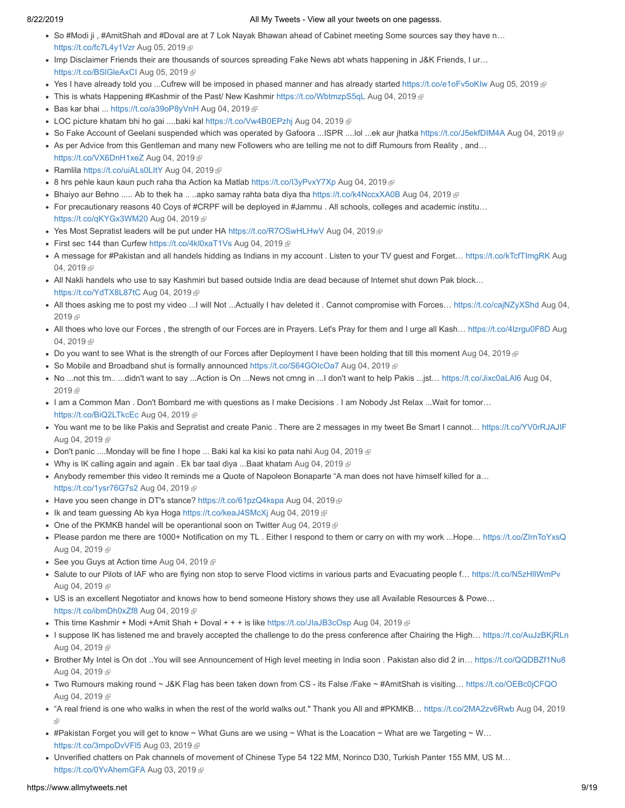- So #Modi ji , #AmitShah and #Doval are at 7 Lok Nayak Bhawan ahead of Cabinet meeting Some sources say they have n… [https://t.co/fc7L4y1Vzr](http://t.co/fc7L4y1Vzr) [Aug 05, 2019](https://twitter.com/meghdootindia/status/1158214438559731712)
- Imp Disclaimer Friends their are thousands of sources spreading Fake News abt whats happening in J&K Friends, I ur... https://t.co/BSIGleAxCI [Aug 05, 2019](https://twitter.com/meghdootindia/status/1158206738383826944) 图
- Yes I have already told you ...Cufrew will be imposed in phased manner and has already started [https://t.co/e1oFv5oKIw](http://t.co/e1oFv5oKIw) [Aug 05, 2019](https://twitter.com/meghdootindia/status/1158199293292863488)
- This is whats Happening #Kashmir of the Past/ New Kashmir [https://t.co/WbtmzpS5qL](http://t.co/WbtmzpS5qL) [Aug 04, 2019](https://twitter.com/meghdootindia/status/1158110501982748672) ®
- Bas kar bhai ... [https://t.co/a39oP8yVnH](http://t.co/a39oP8yVnH) [Aug 04, 2019](https://twitter.com/meghdootindia/status/1158108049027948544) @
- LOC picture khatam bhi ho gai ....baki kal [https://t.co/Vw4B0EPzhj](http://t.co/Vw4B0EPzhj) [Aug 04, 2019](https://twitter.com/meghdootindia/status/1158107236276699136)  $\mathbb{F}$
- So Fake Account of Geelani suspended which was operated by Gafoora ...ISPR ....IoI ...ek aur jhatka [https://t.co/J5ekfDIM4A](http://t.co/J5ekfDIM4A) [Aug 04, 2019](https://twitter.com/meghdootindia/status/1158106213717909504) @
- As per Advice from this Gentleman and many new Followers who are telling me not to diff Rumours from Reality , and…
- [https://t.co/VX6DnH1xeZ](http://t.co/VX6DnH1xeZ) [Aug 04, 2019](https://twitter.com/meghdootindia/status/1158102337623191552)
- Ramlila [https://t.co/uiALs0LItY](http://t.co/uiALs0LItY) [Aug 04, 2019](https://twitter.com/meghdootindia/status/1158094751779840000)
- 8 hrs pehle kaun kaun puch raha tha Action ka Matlab [https://t.co/I3yPvxY7Xp](http://t.co/I3yPvxY7Xp) [Aug 04, 2019](https://twitter.com/meghdootindia/status/1158094047849750528)  $\mathbb P$
- Bhaiyo aur Behno ..... Ab to thek ha ....apko samay rahta bata diya tha [https://t.co/k4NccxXA0B](http://t.co/k4NccxXA0B) [Aug 04, 2019](https://twitter.com/meghdootindia/status/1158091887271485440)  $\oplus$
- For precautionary reasons 40 Coys of #CRPF will be deployed in #Jammu . All schools, colleges and academic institu… [https://t.co/qKYGx3WM20](http://t.co/qKYGx3WM20) [Aug 04, 2019](https://twitter.com/meghdootindia/status/1158088525180329984)
- Yes Most Sepratist leaders will be put under HA [https://t.co/R7OSwHLHwV](http://t.co/R7OSwHLHwV) [Aug 04, 2019](https://twitter.com/meghdootindia/status/1158086474329231360) @
- First sec 144 than Curfew [https://t.co/4kl0xaT1Vs](http://t.co/4kl0xaT1Vs) [Aug 04, 2019](https://twitter.com/meghdootindia/status/1158084661693702144)
- [A message for #Pakistan and all handels hidding as Indians in my account . Listen to your TV guest and Forget… https://t.co/kTcfTImgRK](https://twitter.com/meghdootindia/status/1158084093021544448) Aug 04, 2019
- All Nakli handels who use to say Kashmiri but based outside India are dead because of Internet shut down Pak block… [https://t.co/YdTX8L87tC](http://t.co/YdTX8L87tC) [Aug 04, 2019](https://twitter.com/meghdootindia/status/1158081494704721920)
- All thoes asking me to post my video ...I will Not ...Actually I hav deleted it . Cannot compromise with Forces... https://t.co/cajNZyXShd Aug 04, 2019
- All thoes who love our Forces, the strength of our Forces are in Prayers. Let's Pray for them and I urge all Kash... https://t.co/4lzrgu0F8D Aug 04, 2019
- Do you want to see What is the strength of our Forces after Deployment I have been holding that till this moment [Aug 04, 2019](https://twitter.com/meghdootindia/status/1158072287418912771) @
- So Mobile and Broadband shut is formally announced [https://t.co/S64GOIcOa7](http://t.co/S64GOIcOa7) [Aug 04, 2019](https://twitter.com/meghdootindia/status/1158069423724384256) @
- No ...not this tm.. ...didn't want to say ...Action is On ...News not cmng in ...I don't want to help Pakis ...jst... https://t.co/Jixc0aLAl6 Aug 04, 2019 图
- . I am a Common Man . Don't Bombard me with questions as I make Decisions . I am Nobody Jst Relax ...Wait for tomor... [https://t.co/BiQ2LTkcEc](http://t.co/BiQ2LTkcEc) [Aug 04, 2019](https://twitter.com/meghdootindia/status/1158063606413459456)
- You want me to be like Pakis and Sepratist and create Panic . There are 2 messages in my tweet Be Smart I cannot… [https://t.co/YV0rRJAJIF](http://t.co/YV0rRJAJIF) [Aug 04, 2019](https://twitter.com/meghdootindia/status/1158061258530152448) @
- Don't panic ....Monday will be fine I hope ... Baki kal ka kisi ko pata nahi [Aug 04, 2019](https://twitter.com/meghdootindia/status/1158056926061555712)  $\mathbb{F}$
- Why is IK calling again and again . Ek bar taal diya ...Baat khatam [Aug 04, 2019](https://twitter.com/meghdootindia/status/1158053656236662784)  $\mathbb P$
- Anybody remember this video It reminds me a Quote of Napoleon Bonaparte "A man does not have himself killed for a… [https://t.co/1ysr76G7s2](http://t.co/1ysr76G7s2) [Aug 04, 2019](https://twitter.com/meghdootindia/status/1158040166176415747)
- Have you seen change in DT's stance? [https://t.co/61pzQ4kspa](http://t.co/61pzQ4kspa) [Aug 04, 2019](https://twitter.com/meghdootindia/status/1158036268611072000) @
- Ik and team guessing Ab kya Hoga [https://t.co/keaJ4SMcXj](http://t.co/keaJ4SMcXj) [Aug 04, 2019](https://twitter.com/meghdootindia/status/1158034974487924737)  $\mathbb{F}$
- One of the PKMKB handel will be operantional soon on Twitter [Aug 04, 2019](https://twitter.com/meghdootindia/status/1158030949025587200)
- Please pardon me there are 1000+ Notification on my TL . Either I respond to them or carry on with my work ...Hope… [https://t.co/ZIrnToYxsQ](http://t.co/ZIrnToYxsQ) [Aug 04, 2019](https://twitter.com/meghdootindia/status/1158028444485054465) @
- See you Guys at Action time [Aug 04, 2019](https://twitter.com/meghdootindia/status/1157966468891332608)
- Salute to our Pilots of IAF who are flying non stop to serve Flood victims in various parts and Evacuating people f... [https://t.co/N5zHlIWmPv](http://t.co/N5zHlIWmPv) [Aug 04, 2019](https://twitter.com/meghdootindia/status/1157933109314088961)
- US is an excellent Negotiator and knows how to bend someone History shows they use all Available Resources & Powe… [https://t.co/ibmDh0xZf8](http://t.co/ibmDh0xZf8) [Aug 04, 2019](https://twitter.com/meghdootindia/status/1157927951310053376)
- This time Kashmir + Modi + Amit Shah + Doval + + + is like [https://t.co/JIaJB3cOsp](http://t.co/JIaJB3cOsp) [Aug 04, 2019](https://twitter.com/meghdootindia/status/1157917084606578688)  $\oplus$
- I suppose IK has listened me and bravely accepted the challenge to do the press conference after Chairing the High... [https://t.co/AuJzBKjRLn](http://t.co/AuJzBKjRLn) [Aug 04, 2019](https://twitter.com/meghdootindia/status/1157914723637059589) &
- Brother My Intel is On dot ..You will see Announcement of High level meeting in India soon . Pakistan also did 2 in... [https://t.co/QQDBZf1Nu8](http://t.co/QQDBZf1Nu8) [Aug 04, 2019](https://twitter.com/meghdootindia/status/1157901921299992580) @
- Two Rumours making round ~ J&K Flag has been taken down from CS its False /Fake ~ #AmitShah is visiting... [https://t.co/OEBc0jCFQO](http://t.co/OEBc0jCFQO) [Aug 04, 2019](https://twitter.com/meghdootindia/status/1157888536080576513) @
- ["A real friend is one who walks in when the rest of the world walks out." Thank you All and #PKMKB… https://t.co/2MA2zv6Rwb](https://twitter.com/meghdootindia/status/1157872474626744320) Aug 04, 2019
- $\bullet$  #Pakistan Forget you will get to know ~ What Guns are we using ~ What is the Loacation ~ What are we Targeting ~ W... https://t.co/3mpoDvVFI5 [Aug 03, 2019](https://twitter.com/meghdootindia/status/1157751613936717824) @
- Unverified chatters on Pak channels of movement of Chinese Type 54 122 MM, Norinco D30, Turkish Panter 155 MM, US M… [https://t.co/0YvAhemGFA](http://t.co/0YvAhemGFA) [Aug 03, 2019](https://twitter.com/meghdootindia/status/1157732519627767808)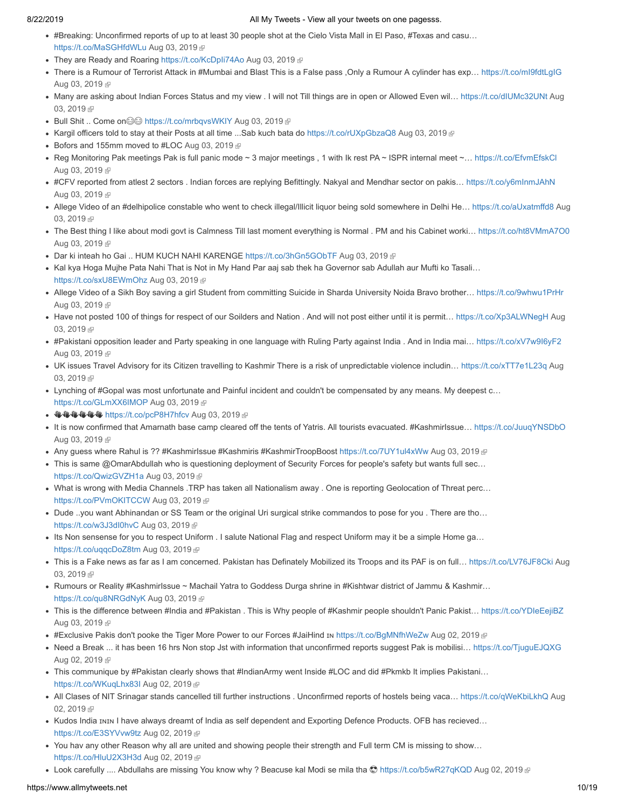- #Breaking: Unconfirmed reports of up to at least 30 people shot at the Cielo Vista Mall in El Paso, #Texas and casu… [https://t.co/MaSGHfdWLu](http://t.co/MaSGHfdWLu) [Aug 03, 2019](https://twitter.com/meghdootindia/status/1157727111106330624)
- They are Ready and Roaring https://t.co/KcDpli74Ao [Aug 03, 2019](https://twitter.com/meghdootindia/status/1157725742316183552)
- There is a Rumour of Terrorist Attack in #Mumbai and Blast This is a False pass ,Only a Rumour A cylinder has exp… [https://t.co/mI9fdtLgIG](http://t.co/mI9fdtLgIG) [Aug 03, 2019](https://twitter.com/meghdootindia/status/1157723559453589504) @
- Many are asking about Indian Forces Status and my view . I will not Till things are in open or Allowed Even wil... https://t.co/dIUMc32UNt Aug 03, 2019
- Bull Shit .. Come on if the style of multipular colombays WKIY [Aug 03, 2019](https://twitter.com/meghdootindia/status/1157720014327173121) in
- Kargil officers told to stay at their Posts at all time ...Sab kuch bata do [https://t.co/rUXpGbzaQ8](http://t.co/rUXpGbzaQ8) [Aug 03, 2019](https://twitter.com/meghdootindia/status/1157709802274840576) @
- $\bullet$  Bofors and 155mm moved to #LOC [Aug 03, 2019](https://twitter.com/meghdootindia/status/1157707175944265728)
- Reg Monitoring Pak meetings Pak is full panic mode ~ 3 major meetings , 1 with Ik rest PA ~ ISPR internal meet ~... [https://t.co/EfvmEfskCl](http://t.co/EfvmEfskCl) [Aug 03, 2019](https://twitter.com/meghdootindia/status/1157696526786764802) @
- #CFV reported from atlest 2 sectors . Indian forces are replying Befittingly. Nakyal and Mendhar sector on pakis… [https://t.co/y6mInmJAhN](http://t.co/y6mInmJAhN) [Aug 03, 2019](https://twitter.com/meghdootindia/status/1157666547629867008) @
- Allege Video of an #delhipolice constable who went to check illegal/Illicit liquor being sold somewhere in Delhi He... https://t.co/aUxatmffd8 Aug 03, 2019
- The Best thing I like about modi govt is Calmness Till last moment everything is Normal . PM and his Cabinet worki… [https://t.co/ht8VMmA7O0](http://t.co/ht8VMmA7O0) [Aug 03, 2019](https://twitter.com/meghdootindia/status/1157642833848754176) @
- Dar ki inteah ho Gai .. HUM KUCH NAHI KARENGE [https://t.co/3hGn5GObTF](http://t.co/3hGn5GObTF) [Aug 03, 2019](https://twitter.com/meghdootindia/status/1157638599803723777) @
- BKal kya Hoga Mujhe Pata Nahi That is Not in My Hand Par aaj sab thek ha Governor sab Adullah aur Mufti ko Tasali... [https://t.co/sxU8EWmOhz](http://t.co/sxU8EWmOhz) [Aug 03, 2019](https://twitter.com/meghdootindia/status/1157636862728474626)
- Allege Video of a Sikh Boy saving a girl Student from committing Suicide in Sharda University Noida Bravo brother… [https://t.co/9whwu1PrHr](http://t.co/9whwu1PrHr) [Aug 03, 2019](https://twitter.com/meghdootindia/status/1157633310056579072) @
- Have not posted 100 of things for respect of our Soilders and Nation . And will not post either until it is permit... https://t.co/Xp3ALWNegH Aug 03, 2019
- #Pakistani opposition leader and Party speaking in one language with Ruling Party against India . And in India mai… [https://t.co/xV7w9I6yF2](http://t.co/xV7w9I6yF2) [Aug 03, 2019](https://twitter.com/meghdootindia/status/1157621624213868544) &
- [UK issues Travel Advisory for its Citizen travelling to Kashmir There is a risk of unpredictable violence includin… https://t.co/xTT7e1L23q](https://twitter.com/meghdootindia/status/1157592702835253250) Aug 03, 2019
- Lynching of #Gopal was most unfortunate and Painful incident and couldn't be compensated by any means. My deepest c… [https://t.co/GLmXX6IMOP](http://t.co/GLmXX6IMOP) [Aug 03, 2019](https://twitter.com/meghdootindia/status/1157587199447011329)
- . WWWWWW [https://t.co/pcP8H7hfcv](http://t.co/pcP8H7hfcv) [Aug 03, 2019](https://twitter.com/meghdootindia/status/1157575238143504385)
- It is now confirmed that Amarnath base camp cleared off the tents of Yatris. All tourists evacuated. #KashmirIssue… [https://t.co/JuuqYNSDbO](http://t.co/JuuqYNSDbO) [Aug 03, 2019](https://twitter.com/meghdootindia/status/1157552163532357632) &
- Any guess where Rahul is ?? #KashmirIssue #Kashmiris #KashmirTroopBoost [https://t.co/7UY1ul4xWw](http://t.co/7UY1ul4xWw) [Aug 03, 2019](https://twitter.com/meghdootindia/status/1157544617283215360) @
- This is same @OmarAbdullah who is questioning deployment of Security Forces for people's safety but wants full sec… [https://t.co/QwizGVZH1a](http://t.co/QwizGVZH1a) [Aug 03, 2019](https://twitter.com/meghdootindia/status/1157540440104562688) @
- What is wrong with Media Channels .TRP has taken all Nationalism away . One is reporting Geolocation of Threat perc… [https://t.co/PVmOKITCCW](http://t.co/PVmOKITCCW) [Aug 03, 2019](https://twitter.com/meghdootindia/status/1157535441534369792) 图
- Dude ..you want Abhinandan or SS Team or the original Uri surgical strike commandos to pose for you . There are tho… https://t.co/w3J3dl0hvC [Aug 03, 2019](https://twitter.com/meghdootindia/status/1157530085928235009) @
- Its Non sensense for you to respect Uniform . I salute National Flag and respect Uniform may it be a simple Home ga… [https://t.co/uqqcDoZ8tm](http://t.co/uqqcDoZ8tm) [Aug 03, 2019](https://twitter.com/meghdootindia/status/1157525473456320512)
- This is a Fake news as far as I am concerned. Pakistan has Definately Mobilized its Troops and its PAF is on full... https://t.co/LV76JF8Cki Aug 03, 2019
- Rumours or Reality #KashmirIssue ~ Machail Yatra to Goddess Durga shrine in #Kishtwar district of Jammu & Kashmir... https://t.co/qu8NRGdNvK [Aug 03, 2019](https://twitter.com/meghdootindia/status/1157513834468274176)
- This is the difference between #India and #Pakistan . This is Why people of #Kashmir people shouldn't Panic Pakist… [https://t.co/YDIeEejiBZ](http://t.co/YDIeEejiBZ) [Aug 03, 2019](https://twitter.com/meghdootindia/status/1157510981427183617) &
- #Exclusive Pakis don't pooke the Tiger More Power to our Forces #JaiHind In [https://t.co/BgMNfhWeZw](http://t.co/BgMNfhWeZw) [Aug 02, 2019](https://twitter.com/meghdootindia/status/1157378904421588992)
- Need a Break ... it has been 16 hrs Non stop Jst with information that unconfirmed reports suggest Pak is mobilisi... [https://t.co/TjuguEJQXG](http://t.co/TjuguEJQXG) [Aug 02, 2019](https://twitter.com/meghdootindia/status/1157370891325472768) @
- This communique by #Pakistan clearly shows that #IndianArmy went Inside #LOC and did #Pkmkb It implies Pakistani… [https://t.co/WKuqLhx83I](http://t.co/WKuqLhx83I) [Aug 02, 2019](https://twitter.com/meghdootindia/status/1157360516953567232)
- [All Clases of NIT Srinagar stands cancelled till further instructions . Unconfirmed reports of hostels being vaca… https://t.co/qWeKbiLkhQ](https://twitter.com/meghdootindia/status/1157348474234347521) Aug 02, 2019
- Kudos India ININ I have always dreamt of India as self dependent and Exporting Defence Products. OFB has recieved... [https://t.co/E3SYVvw9tz](http://t.co/E3SYVvw9tz) [Aug 02, 2019](https://twitter.com/meghdootindia/status/1157343296424796161) @
- You hav any other Reason why all are united and showing people their strength and Full term CM is missing to show… [https://t.co/HluU2X3H3d](http://t.co/HluU2X3H3d) [Aug 02, 2019](https://twitter.com/meghdootindia/status/1157339572092538880)
- Look carefully .... Abdullahs are missing You know why ? Beacuse kal Modi se mila tha [https://t.co/b5wR27qKQD](http://t.co/b5wR27qKQD) [Aug 02, 2019](https://twitter.com/meghdootindia/status/1157338175259283456) P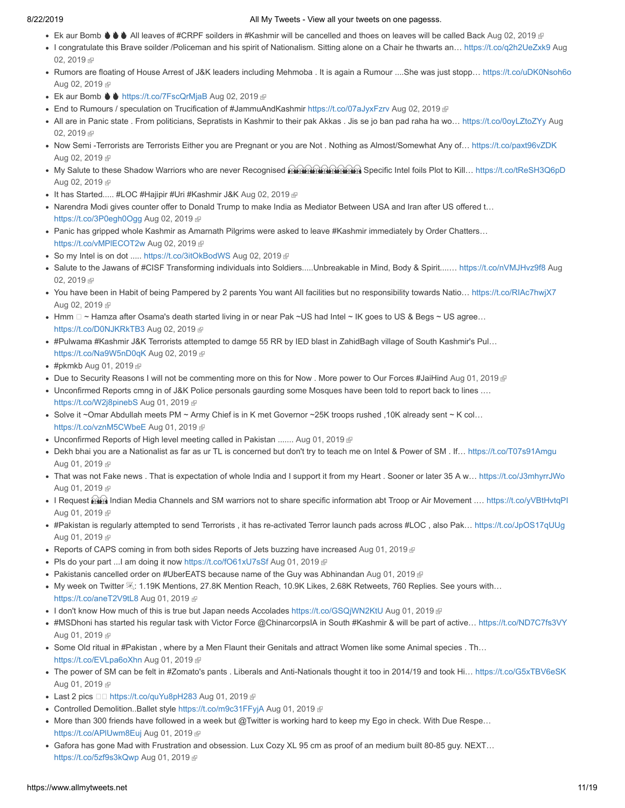- Ek aur Bomb  $\blacklozenge \blacklozenge \blacklozenge$  All leaves of #CRPF soilders in #Kashmir will be cancelled and thoes on leaves will be called Back [Aug 02, 2019](https://twitter.com/meghdootindia/status/1157336976669806592)  $\blacklozenge$
- I congratulate this Brave soilder /Policeman and his spirit of Nationalism. Sitting alone on a Chair he thwarts an... https://t.co/q2h2UeZxk9 Aug 02, 2019
- Rumors are floating of House Arrest of J&K leaders including Mehmoba . It is again a Rumour ....She was just stopp… [https://t.co/uDK0Nsoh6o](http://t.co/uDK0Nsoh6o) [Aug 02, 2019](https://twitter.com/meghdootindia/status/1157324327626235904) @
- Ek aur Bomb  $\bullet$   $\bullet$  [https://t.co/7FscQrMjaB](http://t.co/7FscQrMjaB) [Aug 02, 2019](https://twitter.com/meghdootindia/status/1157321584807309312)  $\bullet$
- End to Rumours / speculation on Trucification of #JammuAndKashmir [https://t.co/07aJyxFzrv](http://t.co/07aJyxFzrv) [Aug 02, 2019](https://twitter.com/meghdootindia/status/1157314205021638657) P
- All are in Panic state . From politicians, Sepratists in Kashmir to their pak Akkas . Jis se jo ban pad raha ha wo... https://t.co/0oyLZtoZYy Aug 02, 2019
- Now Semi -Terrorists are Terrorists Either you are Pregnant or you are Not . Nothing as Almost/Somewhat Any of... [https://t.co/paxt96vZDK](http://t.co/paxt96vZDK) [Aug 02, 2019](https://twitter.com/meghdootindia/status/1157301587464736770) @
- My Salute to these Shadow Warriors who are never Recognised **BRARRARRAR Specific Intel foils Plot to Kill...** [https://t.co/tReSH3Q6pD](http://t.co/tReSH3Q6pD) [Aug 02, 2019](https://twitter.com/meghdootindia/status/1157287523887939584) &
- It has Started..... #LOC #Hajipir #Uri #Kashmir J&K [Aug 02, 2019](https://twitter.com/meghdootindia/status/1157283902999764993)
- Narendra Modi gives counter offer to Donald Trump to make India as Mediator Between USA and Iran after US offered t... [https://t.co/3P0egh0Ogg](http://t.co/3P0egh0Ogg) [Aug 02, 2019](https://twitter.com/meghdootindia/status/1157249670638264320)
- Panic has gripped whole Kashmir as Amarnath Pilgrims were asked to leave #Kashmir immediately by Order Chatters… https://t.co/vMPIECOT2w [Aug 02, 2019](https://twitter.com/meghdootindia/status/1157241888077799424)
- So my Intel is on dot ..... [https://t.co/3itOkBodWS](http://t.co/3itOkBodWS) [Aug 02, 2019](https://twitter.com/meghdootindia/status/1157218933843193856) @
- [Salute to the Jawans of #CISF Transforming individuals into Soldiers.....Unbreakable in Mind, Body & Spirit....… https://t.co/nVMJHvz9f8](https://twitter.com/meghdootindia/status/1157181438908743680) Aug 02, 2019
- You have been in Habit of being Pampered by 2 parents You want All facilities but no responsibility towards Natio… [https://t.co/RIAc7hwjX7](http://t.co/RIAc7hwjX7) [Aug 02, 2019](https://twitter.com/meghdootindia/status/1157156518917070849) @
- Hmm  $\Box$   $\sim$  Hamza after Osama's death started living in or near Pak  $\sim$  US had Intel  $\sim$  IK goes to US & Begs  $\sim$  US agree... [https://t.co/D0NJKRkTB3](http://t.co/D0NJKRkTB3) [Aug 02, 2019](https://twitter.com/meghdootindia/status/1157109871789002753)
- #Pulwama #Kashmir J&K Terrorists attempted to damge 55 RR by IED blast in ZahidBagh village of South Kashmir's Pul… [https://t.co/Na9W5nD0qK](http://t.co/Na9W5nD0qK) [Aug 02, 2019](https://twitter.com/meghdootindia/status/1157103347649769473)
- #pkmkb [Aug 01, 2019](https://twitter.com/meghdootindia/status/1157008008389414912) <sup>®</sup>
- Due to Security Reasons I will not be commenting more on this for Now . More power to Our Forces #JaiHind [Aug 01, 2019](https://twitter.com/meghdootindia/status/1157006404844056576)
- Unconfirmed Reports cmng in of J&K Police personals gaurding some Mosques have been told to report back to lines .… [https://t.co/W2j8pinebS](http://t.co/W2j8pinebS) [Aug 01, 2019](https://twitter.com/meghdootindia/status/1156998977088155648)
- Solve it ~Omar Abdullah meets PM ~ Army Chief is in K met Governor ~25K troops rushed ,10K already sent ~ K col… [https://t.co/vznM5CWbeE](http://t.co/vznM5CWbeE) [Aug 01, 2019](https://twitter.com/meghdootindia/status/1156995369475047424) @
- Unconfirmed Reports of High level meeting called in Pakistan ....... [Aug 01, 2019](https://twitter.com/meghdootindia/status/1156993236042338304)  $\mathbb{F}$
- Dekh bhai you are a Nationalist as far as ur TL is concerned but don't try to teach me on Intel & Power of SM . If… [https://t.co/T07s91Amgu](http://t.co/T07s91Amgu) [Aug 01, 2019](https://twitter.com/meghdootindia/status/1156975509042892800) @
- That was not Fake news . That is expectation of whole India and I support it from my Heart . Sooner or later 35 A w… [https://t.co/J3mhyrrJWo](http://t.co/J3mhyrrJWo) [Aug 01, 2019](https://twitter.com/meghdootindia/status/1156970088718671874) &
- I Request **and in** Indian Media Channels and SM warriors not to share specific information abt Troop or Air Movement .... [https://t.co/yVBtHvtqPI](http://t.co/yVBtHvtqPI) [Aug 01, 2019](https://twitter.com/meghdootindia/status/1156967340904308736) &
- #Pakistan is regularly attempted to send Terrorists , it has re-activated Terror launch pads across #LOC , also Pak… [https://t.co/JpOS17qUUg](http://t.co/JpOS17qUUg) [Aug 01, 2019](https://twitter.com/meghdootindia/status/1156959466383822849) @
- Reports of CAPS coming in from both sides Reports of Jets buzzing have increased [Aug 01, 2019](https://twitter.com/meghdootindia/status/1156955326760931328)
- Pls do your part ...I am doing it now [https://t.co/fO61xU7sSf](http://t.co/fO61xU7sSf) [Aug 01, 2019](https://twitter.com/meghdootindia/status/1156952943347695618) @
- Pakistanis cancelled order on #UberEATS because name of the Guy was Abhinandan [Aug 01, 2019](https://twitter.com/meghdootindia/status/1156951768682524678)  $\mathbb F$
- My week on Twitter  $\leq$ : 1.19K Mentions, 27.8K Mention Reach, 10.9K Likes, 2.68K Retweets, 760 Replies. See yours with... [https://t.co/aneT2V9tL8](http://t.co/aneT2V9tL8) [Aug 01, 2019](https://twitter.com/meghdootindia/status/1156935218487599104) @
- I don't know How much of this is true but Japan needs Accolades [https://t.co/GSQjWN2KtU](http://t.co/GSQjWN2KtU) [Aug 01, 2019](https://twitter.com/meghdootindia/status/1156926393294282753) @
- #MSDhoni has started his regular task with Victor Force @ChinarcorpsIA in South #Kashmir & will be part of active… [https://t.co/ND7C7fs3VY](http://t.co/ND7C7fs3VY) [Aug 01, 2019](https://twitter.com/meghdootindia/status/1156889631004209152) @
- Some Old ritual in #Pakistan , where by a Men Flaunt their Genitals and attract Women like some Animal species . Th… [https://t.co/EVLpa6oXhn](http://t.co/EVLpa6oXhn) [Aug 01, 2019](https://twitter.com/meghdootindia/status/1156875686092537857)
- The power of SM can be felt in #Zomato's pants . Liberals and Anti-Nationals thought it too in 2014/19 and took Hi... [https://t.co/G5xTBV6eSK](http://t.co/G5xTBV6eSK) [Aug 01, 2019](https://twitter.com/meghdootindia/status/1156871859293442048) &
- $\bullet$  Last 2 pics  $\Box$  [https://t.co/quYu8pH283](http://t.co/quYu8pH283) [Aug 01, 2019](https://twitter.com/meghdootindia/status/1156864847285374976) @
- Controlled Demolition..Ballet style [https://t.co/m9c31FFyjA](http://t.co/m9c31FFyjA) [Aug 01, 2019](https://twitter.com/meghdootindia/status/1156850422260178944)
- More than 300 friends have followed in a week but @Twitter is working hard to keep my Ego in check. With Due Respe... https://t.co/APIUwm8Euj [Aug 01, 2019](https://twitter.com/meghdootindia/status/1156845997735075841) @
- Gafora has gone Mad with Frustration and obsession. Lux Cozy XL 95 cm as proof of an medium built 80-85 guy. NEXT… [https://t.co/5zf9s3kQwp](http://t.co/5zf9s3kQwp) [Aug 01, 2019](https://twitter.com/meghdootindia/status/1156842151226908672)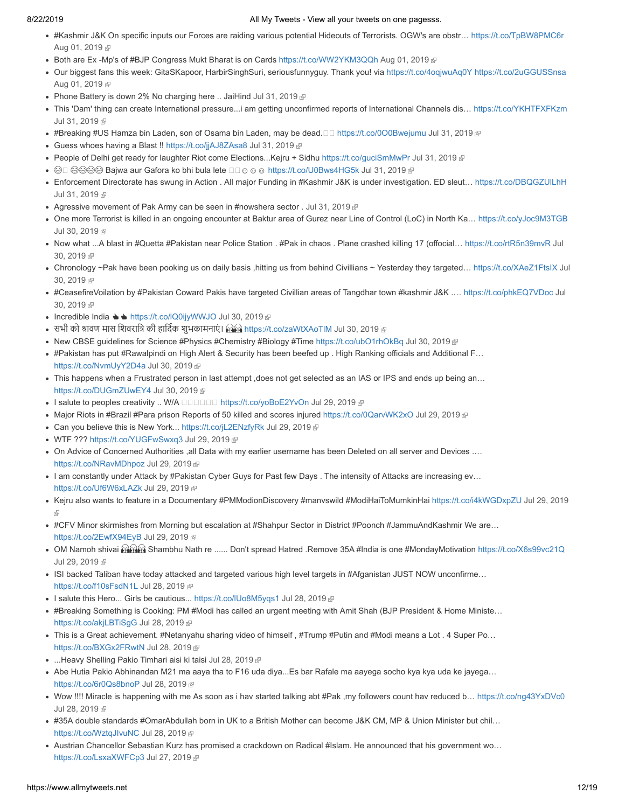- #Kashmir J&K On specific inputs our Forces are raiding various potential Hideouts of Terrorists. OGW's are obstr… [https://t.co/TpBW8PMC6r](http://t.co/TpBW8PMC6r) [Aug 01, 2019](https://twitter.com/meghdootindia/status/1156822819948204033) @
- Both are Ex -Mp's of #BJP Congress Mukt Bharat is on Cards [https://t.co/WW2YKM3QQh](http://t.co/WW2YKM3QQh) [Aug 01, 2019](https://twitter.com/meghdootindia/status/1156802966503882752) @
- Our biggest fans this week: GitaSKapoor, HarbirSinghSuri, seriousfunnyguy. Thank you! via [https://t.co/4oqjwuAq0Y](http://t.co/4oqjwuAq0Y) [https://t.co/2uGGUSSnsa](http://t.co/2uGGUSSnsa) [Aug 01, 2019](https://twitter.com/meghdootindia/status/1156769226536947712) @
- Phone Battery is down 2% No charging here  $\ldots$  JaiHind [Jul 31, 2019](https://twitter.com/meghdootindia/status/1156645334983909376)  $\blacksquare$
- This 'Dam' thing can create International pressure...i am getting unconfirmed reports of International Channels dis... [https://t.co/YKHTFXFKzm](http://t.co/YKHTFXFKzm) [Jul 31, 2019](https://twitter.com/meghdootindia/status/1156634803959226370) @
- #Breaking #US Hamza bin Laden, son of Osama bin Laden, may be dead.□□ [https://t.co/0O0Bwejumu](http://t.co/0O0Bwejumu) [Jul 31, 2019](https://twitter.com/meghdootindia/status/1156631640405229568) @
- Guess whoes having a Blast !! [https://t.co/jjAJ8ZAsa8](http://t.co/jjAJ8ZAsa8) [Jul 31, 2019](https://twitter.com/meghdootindia/status/1156629538559778821)
- People of Delhi get ready for laughter Riot come Elections...Kejru + Sidhu [https://t.co/guciSmMwPr](http://t.co/guciSmMwPr) [Jul 31, 2019](https://twitter.com/meghdootindia/status/1156541707573350400) @
- $\bigcirc$   $\bigcirc$   $\bigcirc$  Bajwa aur Gafora ko bhi bula lete  $\Box$  $\bigcirc$   $\circ$   $\circ$  [https://t.co/U0Bws4HG5k](http://t.co/U0Bws4HG5k) [Jul 31, 2019](https://twitter.com/meghdootindia/status/1156509858620776448)  $\mathbb F$
- Enforcement Directorate has swung in Action . All major Funding in #Kashmir J&K is under investigation. ED sleut… [https://t.co/DBQGZUlLhH](http://t.co/DBQGZUlLhH) [Jul 31, 2019](https://twitter.com/meghdootindia/status/1156461600754155520) @
- Agressive movement of Pak Army can be seen in #nowshera sector . [Jul 31, 2019](https://twitter.com/meghdootindia/status/1156404195529912321)  $\mathbb{F}$
- One more Terrorist is killed in an ongoing encounter at Baktur area of Gurez near Line of Control (LoC) in North Ka… [https://t.co/yJoc9M3TGB](http://t.co/yJoc9M3TGB) [Jul 30, 2019](https://twitter.com/meghdootindia/status/1156263505906917376) @
- Now what ...A blast in #Quetta #Pakistan near Police Station . #Pak in chaos . Plane crashed killing 17 (offocial... https://t.co/rtR5n39mvR Jul 30, 2019
- [Chronology ~Pak have been pooking us on daily basis ,hitting us from behind Civillians ~ Yesterday they targeted… https://t.co/XAeZ1FtsIX](https://twitter.com/meghdootindia/status/1156201765269716992) Jul 30, 2019 图
- [#CeasefireVoilation by #Pakistan Coward Pakis have targeted Civillian areas of Tangdhar town #kashmir J&K .… https://t.co/phkEQ7VDoc](https://twitter.com/meghdootindia/status/1156146575053213696) Jul 30, 2019 图
- Incredible India  $\triangle$  [https://t.co/lQ0ijyWWJO](http://t.co/lQ0ijyWWJO) [Jul 30, 2019](https://twitter.com/meghdootindia/status/1156089960027414528)
- सभी को श्रावण मास शिवरात्रि की हार्दिक शुभकामनाएं। <u>भिभ</u>ि https://t.co/zaWtXAoTIM [Jul 30, 2019](https://twitter.com/meghdootindia/status/1156087138812694528) @
- New CBSE guidelines for Science #Physics #Chemistry #Biology #Time [https://t.co/ubO1rhOkBq](http://t.co/ubO1rhOkBq) [Jul 30, 2019](https://twitter.com/meghdootindia/status/1156058047199903744) @
- #Pakistan has put #Rawalpindi on High Alert & Security has been beefed up . High Ranking officials and Additional F… [https://t.co/NvmUyY2D4a](http://t.co/NvmUyY2D4a) [Jul 30, 2019](https://twitter.com/meghdootindia/status/1156048035324895234) &
- This happens when a Frustrated person in last attempt ,does not get selected as an IAS or IPS and ends up being an... [https://t.co/DUGmZUwEY4](http://t.co/DUGmZUwEY4) [Jul 30, 2019](https://twitter.com/meghdootindia/status/1156044799742377990)
- I salute to peoples creativity .. W/A **noboand [https://t.co/yoBoE2YvOn](http://t.co/yoBoE2YvOn) Jul 29**, 2019 <sup>®</sup>
- Major Riots in #Brazil #Para prison Reports of 50 killed and scores injured [https://t.co/0QarvWK2xO](http://t.co/0QarvWK2xO) [Jul 29, 2019](https://twitter.com/meghdootindia/status/1155907147885993984)
- Can you believe this is New York... [https://t.co/jL2ENzfyRk](http://t.co/jL2ENzfyRk) [Jul 29, 2019](https://twitter.com/meghdootindia/status/1155875214187626496)
- WTF ??? [https://t.co/YUGFwSwxq3](http://t.co/YUGFwSwxq3) [Jul 29, 2019](https://twitter.com/meghdootindia/status/1155849065629831173) @
- On Advice of Concerned Authorities ,all Data with my earlier username has been Deleted on all server and Devices .… [https://t.co/NRavMDhpoz](http://t.co/NRavMDhpoz) [Jul 29, 2019](https://twitter.com/meghdootindia/status/1155806573064626177)
- I am constantly under Attack by #Pakistan Cyber Guys for Past few Days . The intensity of Attacks are increasing ev... [https://t.co/Uf6W6xLAZk](http://t.co/Uf6W6xLAZk) [Jul 29, 2019](https://twitter.com/meghdootindia/status/1155783555969982464)
- [Kejru also wants to feature in a Documentary #PMModionDiscovery #manvswild #ModiHaiToMumkinHai https://t.co/i4kWGDxpZU](https://twitter.com/meghdootindia/status/1155751909925376000) Jul 29, 2019 兩
- #CFV Minor skirmishes from Morning but escalation at #Shahpur Sector in District #Poonch #JammuAndKashmir We are… [https://t.co/2EwfX94EyB](http://t.co/2EwfX94EyB) [Jul 29, 2019](https://twitter.com/meghdootindia/status/1155743940588367872)
- OM Namoh shivai Shambhu Nath re ...... Don't spread Hatred .Remove 35A #India is one #MondayMotivation [https://t.co/X6s99vc21Q](http://t.co/X6s99vc21Q) [Jul 29, 2019](https://twitter.com/meghdootindia/status/1155659717600899072) @
- ISI backed Taliban have today attacked and targeted various high level targets in #Afganistan JUST NOW unconfirme... [https://t.co/f10sFsdN1L](http://t.co/f10sFsdN1L) [Jul 28, 2019](https://twitter.com/meghdootindia/status/1155569411270406144) 图
- I salute this Hero... Girls be cautious... https://t.co/IUo8M5yqs1 [Jul 28, 2019](https://twitter.com/meghdootindia/status/1155558208020176897) @
- #Breaking Something is Cooking: PM #Modi has called an urgent meeting with Amit Shah (BJP President & Home Ministe… [https://t.co/akjLBTiSgG](http://t.co/akjLBTiSgG) [Jul 28, 2019](https://twitter.com/meghdootindia/status/1155553033939374085)
- This is a Great achievement. #Netanyahu sharing video of himself , #Trump #Putin and #Modi means a Lot . 4 Super Po… [https://t.co/BXGx2FRwtN](http://t.co/BXGx2FRwtN) [Jul 28, 2019](https://twitter.com/meghdootindia/status/1155489691849777155) ®
- ...Heavy Shelling Pakio Timhari aisi ki taisi [Jul 28, 2019](https://twitter.com/meghdootindia/status/1155443044918804481) @
- Abe Hutia Pakio Abhinandan M21 ma aaya tha to F16 uda diya...Es bar Rafale ma aayega socho kya kya uda ke jayega… [https://t.co/6r0Qs8bnoP](http://t.co/6r0Qs8bnoP) [Jul 28, 2019](https://twitter.com/meghdootindia/status/1155432951976325122)
- Wow !!!! Miracle is happening with me As soon as i hav started talking abt #Pak ,my followers count hav reduced b… [https://t.co/ng43YxDVc0](http://t.co/ng43YxDVc0) [Jul 28, 2019](https://twitter.com/meghdootindia/status/1155411946708975616)
- #35A double standards #OmarAbdullah born in UK to a British Mother can become J&K CM, MP & Union Minister but chil… [https://t.co/WztqJIvuNC](http://t.co/WztqJIvuNC) [Jul 28, 2019](https://twitter.com/meghdootindia/status/1155365745728974848) @
- Austrian Chancellor Sebastian Kurz has promised a crackdown on Radical #Islam. He announced that his government wo… [https://t.co/LsxaXWFCp3](http://t.co/LsxaXWFCp3) [Jul 27, 2019](https://twitter.com/meghdootindia/status/1155232304857374720)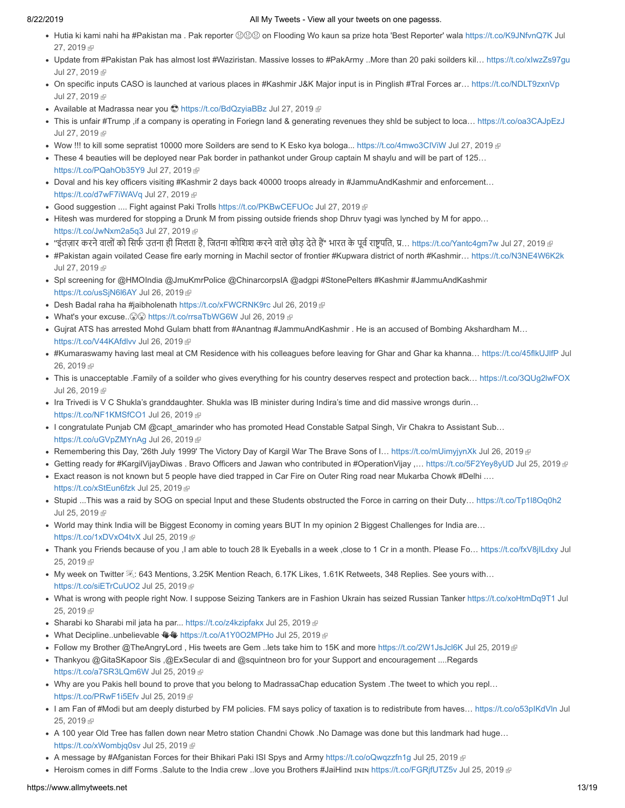- Hutia ki kami nahi ha #Pakistan ma . Pak reporter 389 [on Flooding Wo kaun sa prize hota 'Best Reporter' wala https://t.co/K9JNfvnQ7K](https://twitter.com/meghdootindia/status/1155181907946029056) Jul 27, 2019
- Update from #Pakistan Pak has almost lost #Waziristan. Massive losses to #PakArmy ..More than 20 paki soilders kil… [https://t.co/xIwzZs97gu](http://t.co/xIwzZs97gu) [Jul 27, 2019](https://twitter.com/meghdootindia/status/1155174321343496192) @
- On specific inputs CASO is launched at various places in #Kashmir J&K Major input is in Pinglish #Tral Forces ar… [https://t.co/NDLT9zxnVp](http://t.co/NDLT9zxnVp) [Jul 27, 2019](https://twitter.com/meghdootindia/status/1155165561770221568) @
- Available at Madrassa near you  $\bigcirc$  [https://t.co/BdQzyiaBBz](http://t.co/BdQzyiaBBz) [Jul 27, 2019](https://twitter.com/meghdootindia/status/1155162116107591681)  $\bigcirc$
- This is unfair #Trump , if a company is operating in Foriegn land & generating revenues they shld be subject to loca... [https://t.co/oa3CAJpEzJ](http://t.co/oa3CAJpEzJ) [Jul 27, 2019](https://twitter.com/meghdootindia/status/1155134789504008192) @
- Wow !!! to kill some sepratist 10000 more Soilders are send to K Esko kya bologa... [https://t.co/4mwo3CIViW](http://t.co/4mwo3CIViW) [Jul 27, 2019](https://twitter.com/meghdootindia/status/1155127299760513026) @
- These 4 beauties will be deployed near Pak border in pathankot under Group captain M shaylu and will be part of 125… [https://t.co/PQahOb35Y9](http://t.co/PQahOb35Y9) [Jul 27, 2019](https://twitter.com/meghdootindia/status/1155111239749492737)
- Doval and his key officers visiting #Kashmir 2 days back 40000 troops already in #JammuAndKashmir and enforcement… [https://t.co/d7wF7iWAVq](http://t.co/d7wF7iWAVq) [Jul 27, 2019](https://twitter.com/meghdootindia/status/1155102073693696002) @
- Good suggestion .... Fight against Paki Trolls [https://t.co/PKBwCEFUOc](http://t.co/PKBwCEFUOc) [Jul 27, 2019](https://twitter.com/meghdootindia/status/1155080829762068480) @
- Hitesh was murdered for stopping a Drunk M from pissing outside friends shop Dhruv tyagi was lynched by M for appo... [https://t.co/JwNxm2a5q3](http://t.co/JwNxm2a5q3) [Jul 27, 2019](https://twitter.com/meghdootindia/status/1155077951278342145)
- "इंतज़ार करने वालों को सिर्फ उतना ही मिलता है. जितना कोशिश करने वाले छोड़ देते हैं" भारत के पूर्व राष्ट्रपति. प्र… [https://t.co/Yantc4gm7w](http://t.co/Yantc4gm7w) [Jul 27, 2019](https://twitter.com/meghdootindia/status/1154970291216404480) @
- #Pakistan again voilated Cease fire early morning in Machil sector of frontier #Kupwara district of north #Kashmir… [https://t.co/N3NE4W6K2k](http://t.co/N3NE4W6K2k) [Jul 27, 2019](https://twitter.com/meghdootindia/status/1154965157983899648) &
- Spl screening for @HMOIndia @JmuKmrPolice @ChinarcorpsIA @adgpi #StonePelters #Kashmir #JammuAndKashmir [https://t.co/usSjN6l6AY](http://t.co/usSjN6l6AY) [Jul 26, 2019](https://twitter.com/meghdootindia/status/1154823776942432256)
- Desh Badal raha ha #jaibholenath [https://t.co/xFWCRNK9rc](http://t.co/xFWCRNK9rc) [Jul 26, 2019](https://twitter.com/meghdootindia/status/1154788672794836992)
- What's your excuse.. © [https://t.co/rrsaTbWG6W](http://t.co/rrsaTbWG6W) [Jul 26, 2019](https://twitter.com/meghdootindia/status/1154782112987246592) @
- Gujrat ATS has arrested Mohd Gulam bhatt from #Anantnag #JammuAndKashmir . He is an accused of Bombing Akshardham M… [https://t.co/V44KAfdlvv](http://t.co/V44KAfdlvv) [Jul 26, 2019](https://twitter.com/meghdootindia/status/1154754090603143168) 图
- [#Kumaraswamy having last meal at CM Residence with his colleagues before leaving for Ghar and Ghar ka khanna… https://t.co/45flkUJlfP](https://twitter.com/meghdootindia/status/1154740224896843776) Jul 26, 2019 图
- . This is unacceptable .Family of a soilder who gives everything for his country deserves respect and protection back... [https://t.co/3QUg2lwFOX](http://t.co/3QUg2lwFOX) [Jul 26, 2019](https://twitter.com/meghdootindia/status/1154735901223706626) @
- Ira Trivedi is V C Shukla's granddaughter. Shukla was IB minister during Indira's time and did massive wrongs durin… [https://t.co/NF1KMSfCO1](http://t.co/NF1KMSfCO1) [Jul 26, 2019](https://twitter.com/meghdootindia/status/1154712009339916288) @
- · I congratulate Punjab CM @capt\_amarinder who has promoted Head Constable Satpal Singh, Vir Chakra to Assistant Sub... [https://t.co/uGVpZMYnAg](http://t.co/uGVpZMYnAg) [Jul 26, 2019](https://twitter.com/meghdootindia/status/1154643349527154689)
- Remembering this Day, '26th July 1999' The Victory Day of Kargil War The Brave Sons of I… [https://t.co/mUimyjynXk](http://t.co/mUimyjynXk) [Jul 26, 2019](https://twitter.com/meghdootindia/status/1154604960052436995) ®
- Getting ready for #KargilVijayDiwas . Bravo Officers and Jawan who contributed in #OperationVijay ,... [https://t.co/5F2Yey8yUD](http://t.co/5F2Yey8yUD) [Jul 25, 2019](https://twitter.com/meghdootindia/status/1154457198212214784) ®
- Exact reason is not known but 5 people have died trapped in Car Fire on Outer Ring road near Mukarba Chowk #Delhi .… [https://t.co/xStEun6fzk](http://t.co/xStEun6fzk) [Jul 25, 2019](https://twitter.com/meghdootindia/status/1154451406184542208)
- Stupid ...This was a raid by SOG on special Input and these Students obstructed the Force in carring on their Duty… [https://t.co/Tp1l8Oq0h2](http://t.co/Tp1l8Oq0h2) [Jul 25, 2019](https://twitter.com/meghdootindia/status/1154436378500845568) @
- World may think India will be Biggest Economy in coming years BUT In my opinion 2 Biggest Challenges for India are… [https://t.co/1xDVxO4tvX](http://t.co/1xDVxO4tvX) [Jul 25, 2019](https://twitter.com/meghdootindia/status/1154433122085117952)
- Thank you Friends because of you ,I am able to touch 28 lk Eyeballs in a week ,close to 1 Cr in a month. Please Fo... https://t.co/fxV8jILdxy Jul 25, 2019
- My week on Twitter  $\mathcal{R}$ : 643 Mentions, 3.25K Mention Reach, 6.17K Likes, 1.61K Retweets, 348 Replies. See yours with... [https://t.co/siETrCuUO2](http://t.co/siETrCuUO2) [Jul 25, 2019](https://twitter.com/meghdootindia/status/1154398506557300736) 图
- [What is wrong with people right Now. I suppose Seizing Tankers are in Fashion Ukrain has seized Russian Tanker https://t.co/xoHtmDq9T1](https://twitter.com/meghdootindia/status/1154380723047895042) Jul 25, 2019 图
- Sharabi ko Sharabi mil jata ha par... [https://t.co/z4kzipfakx](http://t.co/z4kzipfakx) [Jul 25, 2019](https://twitter.com/meghdootindia/status/1154378938522542080) @
- What Decipline..unbelievable [https://t.co/A1Y0O2MPHo](http://t.co/A1Y0O2MPHo) [Jul 25, 2019](https://twitter.com/meghdootindia/status/1154351891754569728)
- Follow my Brother @TheAngryLord, His tweets are Gem ..lets take him to 15K and more [https://t.co/2W1JsJcl6K](http://t.co/2W1JsJcl6K) [Jul 25, 2019](https://twitter.com/meghdootindia/status/1154338465086967808) @
- Thankyou @GitaSKapoor Sis ,@ExSecular di and @squintneon bro for your Support and encouragement ....Regards [https://t.co/a7SR3LQm6W](http://t.co/a7SR3LQm6W) [Jul 25, 2019](https://twitter.com/meghdootindia/status/1154335303475187712) 图
- Why are you Pakis hell bound to prove that you belong to MadrassaChap education System .The tweet to which you repl… [https://t.co/PRwF1i5Efv](http://t.co/PRwF1i5Efv) [Jul 25, 2019](https://twitter.com/meghdootindia/status/1154317324117139456)
- I am Fan of #Modi but am deeply disturbed by FM policies. FM says policy of taxation is to redistribute from haves... https://t.co/o53pIKdVln Jul 25, 2019 雨
- A 100 year Old Tree has fallen down near Metro station Chandni Chowk .No Damage was done but this landmark had huge… [https://t.co/xWombjq0sv](http://t.co/xWombjq0sv) [Jul 25, 2019](https://twitter.com/meghdootindia/status/1154272508536709120) 图
- A message by #Afganistan Forces for their Bhikari Paki ISI Spys and Army [https://t.co/oQwqzzfn1g](http://t.co/oQwqzzfn1g) [Jul 25, 2019](https://twitter.com/meghdootindia/status/1154269829722824704)
- Heroism comes in diff Forms .Salute to the India crew ..love you Brothers #JaiHind nun [https://t.co/FGRjfUTZ5v](http://t.co/FGRjfUTZ5v) [Jul 25, 2019](https://twitter.com/meghdootindia/status/1154257924144844802) @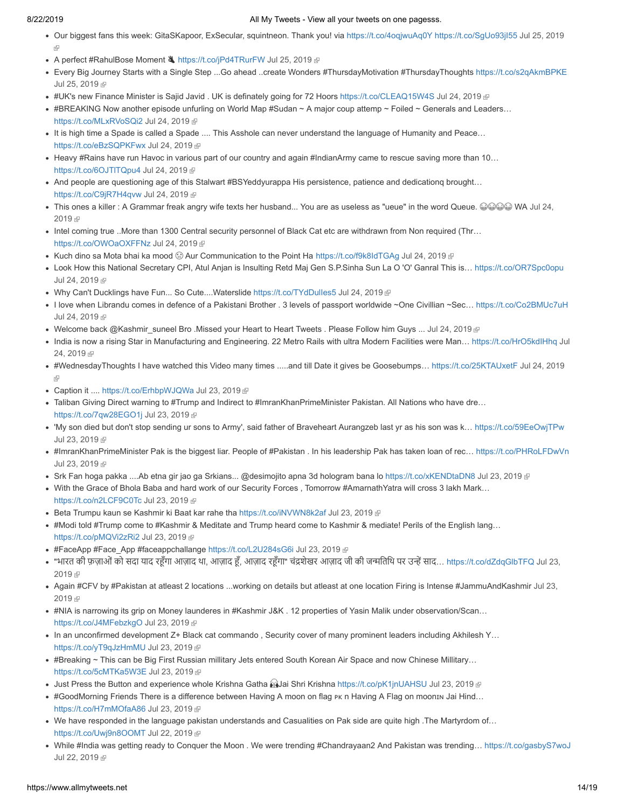- [Our biggest fans this week: GitaSKapoor, ExSecular, squintneon. Thank you! via https://t.co/4oqjwuAq0Y](https://twitter.com/meghdootindia/status/1154232425234522112) [https://t.co/SgUo93jI55](http://t.co/SgUo93jI55) Jul 25, 2019 ÷
- A perfect #RahulBose Moment & [https://t.co/jPd4TRurFW](http://t.co/jPd4TRurFW) [Jul 25, 2019](https://twitter.com/meghdootindia/status/1154221867986612225) ®
- Every Big Journey Starts with a Single Step ...Go ahead ..create Wonders #ThursdayMotivation #ThursdayThoughts [https://t.co/s2qAkmBPKE](http://t.co/s2qAkmBPKE) [Jul 25, 2019](https://twitter.com/meghdootindia/status/1154212718183714816) @
- #UK's new Finance Minister is Sajid Javid . UK is definately going for 72 Hoors [https://t.co/CLEAQ15W4S](http://t.co/CLEAQ15W4S) [Jul 24, 2019](https://twitter.com/meghdootindia/status/1154085438379843590) @
- #BREAKING Now another episode unfurling on World Map #Sudan ~ A major coup attemp ~ Foiled ~ Generals and Leaders... [https://t.co/MLxRVoSQi2](http://t.co/MLxRVoSQi2) [Jul 24, 2019](https://twitter.com/meghdootindia/status/1154082998947467264) 图
- It is high time a Spade is called a Spade .... This Asshole can never understand the language of Humanity and Peace… [https://t.co/eBzSQPKFwx](http://t.co/eBzSQPKFwx) [Jul 24, 2019](https://twitter.com/meghdootindia/status/1154080017862647808) 配
- Heavy #Rains have run Havoc in various part of our country and again #IndianArmy came to rescue saving more than 10… https://t.co/6OJTITQpu4 [Jul 24, 2019](https://twitter.com/meghdootindia/status/1154074916808884224)
- And people are questioning age of this Stalwart #BSYeddyurappa His persistence, patience and dedicationq brought… [https://t.co/C9jR7H4qvw](http://t.co/C9jR7H4qvw) [Jul 24, 2019](https://twitter.com/meghdootindia/status/1154056890529116161) 图
- [This ones a killer : A Grammar freak angry wife texts her husband... You are as useless as "ueue" in the word Queue.](https://twitter.com/meghdootindia/status/1154041701511471110)  
WA Jul 24, 2019 雨
- Intel coming true ..More than 1300 Central security personnel of Black Cat etc are withdrawn from Non required (Thr... [https://t.co/OWOaOXFFNz](http://t.co/OWOaOXFFNz) [Jul 24, 2019](https://twitter.com/meghdootindia/status/1154034223226863618)
- Kuch dino sa Mota bhai ka mood  $\circledcirc$  Aur Communication to the Point Ha [https://t.co/f9k8IdTGAg](http://t.co/f9k8IdTGAg) [Jul 24, 2019](https://twitter.com/meghdootindia/status/1154009994854948867)  $\circledcirc$
- Look How this National Secretary CPI, Atul Anjan is Insulting Retd Maj Gen S.P.Sinha Sun La O 'O' Ganral This is… [https://t.co/OR7Spc0opu](http://t.co/OR7Spc0opu) [Jul 24, 2019](https://twitter.com/meghdootindia/status/1153971345354395648) @
- Why Can't Ducklings have Fun... So Cute....Waterslide https://t.co/TYdDulles5 [Jul 24, 2019](https://twitter.com/meghdootindia/status/1153933360906948608) ®
- I love when Librandu comes in defence of a Pakistani Brother . 3 levels of passport worldwide ~One Civillian ~Sec... [https://t.co/Co2BMUc7uH](http://t.co/Co2BMUc7uH) [Jul 24, 2019](https://twitter.com/meghdootindia/status/1153928298398961665) &
- Welcome back @Kashmir\_suneel Bro .Missed your Heart to Heart Tweets . Please Follow him Guys ... [Jul 24, 2019](https://twitter.com/meghdootindia/status/1153893228564738048)
- [India is now a rising Star in Manufacturing and Engineering. 22 Metro Rails with ultra Modern Facilities were Man… https://t.co/HrO5kdIHhq](https://twitter.com/meghdootindia/status/1153853040144707584) Jul 24, 2019 雨
- [#WednesdayThoughts I have watched this Video many times .....and till Date it gives be Goosebumps… https://t.co/25KTAUxetF](https://twitter.com/meghdootindia/status/1153849994819989504) Jul 24, 2019 凾
- Caption it .... [https://t.co/ErhbpWJQWa](http://t.co/ErhbpWJQWa) [Jul 23, 2019](https://twitter.com/meghdootindia/status/1153734780950679552)
- Taliban Giving Direct warning to #Trump and Indirect to #ImranKhanPrimeMinister Pakistan. All Nations who have dre... [https://t.co/7qw28EGO1j](http://t.co/7qw28EGO1j) [Jul 23, 2019](https://twitter.com/meghdootindia/status/1153724843428237312)
- 'My son died but don't stop sending ur sons to Army', said father of Braveheart Aurangzeb last yr as his son was k… [https://t.co/59EeOwjTPw](http://t.co/59EeOwjTPw) [Jul 23, 2019](https://twitter.com/meghdootindia/status/1153718622973337600) @
- #ImranKhanPrimeMinister Pak is the biggest liar. People of #Pakistan . In his leadership Pak has taken loan of rec… [https://t.co/PHRoLFDwVn](http://t.co/PHRoLFDwVn) [Jul 23, 2019](https://twitter.com/meghdootindia/status/1153715194859671553) @
- Srk Fan hoga pakka ....Ab etna gir jao ga Srkians... @desimojito apna 3d hologram bana lo [https://t.co/xKENDtaDN8](http://t.co/xKENDtaDN8) [Jul 23, 2019](https://twitter.com/meghdootindia/status/1153710697236160512) @
- With the Grace of Bhola Baba and hard work of our Security Forces , Tomorrow #AmarnathYatra will cross 3 lakh Mark… [https://t.co/n2LCF9C0Tc](http://t.co/n2LCF9C0Tc) [Jul 23, 2019](https://twitter.com/meghdootindia/status/1153699834529845248) 图
- Beta Trumpu kaun se Kashmir ki Baat kar rahe tha [https://t.co/iNVWN8k2af](http://t.co/iNVWN8k2af) [Jul 23, 2019](https://twitter.com/meghdootindia/status/1153663751343656962)  $\mathbb P$
- #Modi told #Trump come to #Kashmir & Meditate and Trump heard come to Kashmir & mediate! Perils of the English lang… [https://t.co/pMQVi2zRi2](http://t.co/pMQVi2zRi2) [Jul 23, 2019](https://twitter.com/meghdootindia/status/1153640940323524608)
- #FaceApp #Face App #faceappchallange [https://t.co/L2U284sG6i](http://t.co/L2U284sG6i) [Jul 23, 2019](https://twitter.com/meghdootindia/status/1153629918212677633)
- "भारत की फ़ज़ाओं को सदा याद रहूँगा आज़ाद था, आज़ाद हूँ, आज़ाद रहूँगा" चंद्रशेखर आज़ाद जी की जन्मतिथि पर उन्हें साद[… https://t.co/dZdqGlbTFQ](https://twitter.com/meghdootindia/status/1153572654256812033) Jul 23, 2019
- [Again #CFV by #Pakistan at atleast 2 locations ...working on details but atleast at one location Firing is Intense #JammuAndKashmir Jul 23,](https://twitter.com/meghdootindia/status/1153561757924777985) 2019 雨
- #NIA is narrowing its grip on Money launderes in #Kashmir J&K . 12 properties of Yasin Malik under observation/Scan… [https://t.co/J4MFebzkgO](http://t.co/J4MFebzkgO) [Jul 23, 2019](https://twitter.com/meghdootindia/status/1153559997223067648)
- In an unconfirmed development Z+ Black cat commando, Security cover of many prominent leaders including Akhilesh Y... [https://t.co/yT9qJzHmMU](http://t.co/yT9qJzHmMU) [Jul 23, 2019](https://twitter.com/meghdootindia/status/1153502742502993920) 配
- #Breaking ~ This can be Big First Russian millitary Jets entered South Korean Air Space and now Chinese Millitary… [https://t.co/5cMTKa5W3E](http://t.co/5cMTKa5W3E) [Jul 23, 2019](https://twitter.com/meghdootindia/status/1153498050490331136) ®
- Just Press the Button and experience whole Krishna Gatha **Mai Shri Krishna [https://t.co/pK1jnUAHSU](http://t.co/pK1jnUAHSU) [Jul 23, 2019](https://twitter.com/meghdootindia/status/1153482250119311360)** ®
- #GoodMorning Friends There is a difference between Having A moon on flag PK n Having A Flag on moonIN Jai Hind... [https://t.co/H7mMOfaA86](http://t.co/H7mMOfaA86) [Jul 23, 2019](https://twitter.com/meghdootindia/status/1153481228701450240) @
- We have responded in the language pakistan understands and Casualities on Pak side are quite high .The Martyrdom of… [https://t.co/Uwj9n8OOMT](http://t.co/Uwj9n8OOMT) [Jul 22, 2019](https://twitter.com/meghdootindia/status/1153350252306415616) @
- While #India was getting ready to Conquer the Moon . We were trending #Chandrayaan2 And Pakistan was trending… [https://t.co/gasbyS7woJ](http://t.co/gasbyS7woJ) [Jul 22, 2019](https://twitter.com/meghdootindia/status/1153278461856768001) &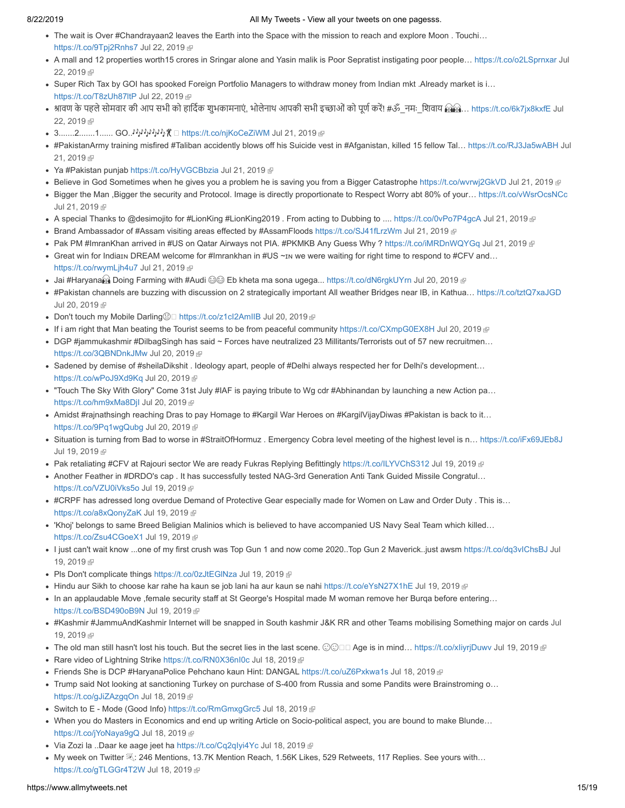- The wait is Over #Chandrayaan2 leaves the Earth into the Space with the mission to reach and explore Moon . Touchi… [https://t.co/9Tpj2Rnhs7](http://t.co/9Tpj2Rnhs7) [Jul 22, 2019](https://twitter.com/meghdootindia/status/1153234188973199360)
- [A mall and 12 properties worth15 crores in Sringar alone and Yasin malik is Poor Sepratist instigating poor people… https://t.co/o2LSprnxar](https://twitter.com/meghdootindia/status/1153206603849424897) Jul 22, 2019 图
- .. Super Rich Tax by GOI has spooked Foreign Portfolio Managers to withdraw money from Indian mkt .Already market is i... [https://t.co/T8zUh87ltP](http://t.co/T8zUh87ltP) [Jul 22, 2019](https://twitter.com/meghdootindia/status/1153197072142569472)
- आवण के पहले सोमवार की आप सभी को हार्दिक शुभकामनाएं, भोलेनाथ आपकी सभी इच्छाओं को पूर्ण करें! #ॐत्मः शिवाय शिशि… https://t.co/6k7ix8kxfE Jul 22, 2019 图
- 3.......2.......1...... GO..^^}^^}^}^}\\*\} □ [https://t.co/njKoCeZiWM](http://t.co/njKoCeZiWM) [Jul 21, 2019](https://twitter.com/meghdootindia/status/1152971825179054080) ☞
- [#PakistanArmy training misfired #Taliban accidently blows off his Suicide vest in #Afganistan, killed 15 fellow Tal… https://t.co/RJ3Ja5wABH](https://twitter.com/meghdootindia/status/1152967603633057793) Jul 21, 2019
- Ya #Pakistan punjab [https://t.co/HyVGCBbzia](http://t.co/HyVGCBbzia) [Jul 21, 2019](https://twitter.com/meghdootindia/status/1152901198996885504) *®*
- Believe in God Sometimes when he gives you a problem he is saving you from a Bigger Catastrophe [https://t.co/wvrwj2GkVD](http://t.co/wvrwj2GkVD) [Jul 21, 2019](https://twitter.com/meghdootindia/status/1152893112928235520) ®
- Bigger the Man , Bigger the security and Protocol. Image is directly proportionate to Respect Worry abt 80% of your... [https://t.co/vWsrOcsNCc](http://t.co/vWsrOcsNCc) [Jul 21, 2019](https://twitter.com/meghdootindia/status/1152871282695782400) @
- A special Thanks to @desimojito for #LionKing #LionKing2019 . From acting to Dubbing to .... [https://t.co/0vPo7P4gcA](http://t.co/0vPo7P4gcA) [Jul 21, 2019](https://twitter.com/meghdootindia/status/1152868335316393984) @
- Brand Ambassador of #Assam visiting areas effected by #AssamFloods [https://t.co/SJ41fLrzWm](http://t.co/SJ41fLrzWm) [Jul 21, 2019](https://twitter.com/meghdootindia/status/1152820094885457920) @
- Pak PM #ImranKhan arrived in #US on Qatar Airways not PIA. #PKMKB Any Guess Why ? [https://t.co/iMRDnWQYGq](http://t.co/iMRDnWQYGq) [Jul 21, 2019](https://twitter.com/meghdootindia/status/1152816080177418240)
- Great win for India n DREAM welcome for #Imrankhan in #US  $\sim$  n we were waiting for right time to respond to #CFV and... [https://t.co/rwymLjh4u7](http://t.co/rwymLjh4u7) [Jul 21, 2019](https://twitter.com/meghdootindia/status/1152812827989565441)
- Jai #Haryana Doing Farming with #Audi Eb kheta ma sona ugega... [https://t.co/dN6rgkUYrn](http://t.co/dN6rgkUYrn) [Jul 20, 2019](https://twitter.com/meghdootindia/status/1152645508185247744)
- #Pakistan channels are buzzing with discussion on 2 strategically important All weather Bridges near IB, in Kathua… [https://t.co/tztQ7xaJGD](http://t.co/tztQ7xaJGD) [Jul 20, 2019](https://twitter.com/meghdootindia/status/1152607995089473538) @
- Don't touch my Mobile Darling **D** https://t.co/z1cl2AmIIB [Jul 20, 2019](https://twitter.com/meghdootindia/status/1152586860968865792) *®*
- If i am right that Man beating the Tourist seems to be from peaceful community [https://t.co/CXmpG0EX8H](http://t.co/CXmpG0EX8H) [Jul 20, 2019](https://twitter.com/meghdootindia/status/1152576455718473728)
- DGP #jammukashmir #DilbagSingh has said ~ Forces have neutralized 23 Millitants/Terrorists out of 57 new recruitmen… [https://t.co/3QBNDnkJMw](http://t.co/3QBNDnkJMw) [Jul 20, 2019](https://twitter.com/meghdootindia/status/1152575101558120448)
- Sadened by demise of #sheilaDikshit . Ideology apart, people of #Delhi always respected her for Delhi's development... [https://t.co/wPoJ9Xd9Kq](http://t.co/wPoJ9Xd9Kq) [Jul 20, 2019](https://twitter.com/meghdootindia/status/1152537192482275329) 图
- "Touch The Sky With Glory" Come 31st July #IAF is paying tribute to Wg cdr #Abhinandan by launching a new Action pa… [https://t.co/hm9xMa8DjI](http://t.co/hm9xMa8DjI) [Jul 20, 2019](https://twitter.com/meghdootindia/status/1152477491363057666) 图
- Amidst #rajnathsingh reaching Dras to pay Homage to #Kargil War Heroes on #KargilVijayDiwas #Pakistan is back to it… [https://t.co/9Pq1wgQubg](http://t.co/9Pq1wgQubg) [Jul 20, 2019](https://twitter.com/meghdootindia/status/1152442246681120768)
- Situation is turning from Bad to worse in #StraitOfHormuz . Emergency Cobra level meeting of the highest level is n... [https://t.co/iFx69JEb8J](http://t.co/iFx69JEb8J) [Jul 19, 2019](https://twitter.com/meghdootindia/status/1152280620455718912) &
- Pak retaliating #CFV at Rajouri sector We are ready Fukras Replying Befittingly [https://t.co/ILYVChS312](http://t.co/ILYVChS312) [Jul 19, 2019](https://twitter.com/meghdootindia/status/1152245838036385793) @
- Another Feather in #DRDO's cap . It has successfully tested NAG-3rd Generation Anti Tank Guided Missile Congratul… [https://t.co/VZU0iVks5o](http://t.co/VZU0iVks5o) [Jul 19, 2019](https://twitter.com/meghdootindia/status/1152239737286975488)
- #CRPF has adressed long overdue Demand of Protective Gear especially made for Women on Law and Order Duty . This is… [https://t.co/a8xQonyZaK](http://t.co/a8xQonyZaK) [Jul 19, 2019](https://twitter.com/meghdootindia/status/1152224058680856577)
- 'Khoj' belongs to same Breed Beligian Malinios which is believed to have accompanied US Navy Seal Team which killed… [https://t.co/Zsu4CGoeX1](http://t.co/Zsu4CGoeX1) [Jul 19, 2019](https://twitter.com/meghdootindia/status/1152216771597762560) 图
- [I just can't wait know ...one of my first crush was Top Gun 1 and now come 2020..Top Gun 2 Maverick..just awsm https://t.co/dq3vIChsBJ](https://twitter.com/meghdootindia/status/1152197940821102592) Jul 19, 2019
- Pls Don't complicate things https://t.co/0zJtEGINza [Jul 19, 2019](https://twitter.com/meghdootindia/status/1152182870514888705)
- Hindu aur Sikh to choose kar rahe ha kaun se job lani ha aur kaun se nahi [https://t.co/eYsN27X1hE](http://t.co/eYsN27X1hE) [Jul 19, 2019](https://twitter.com/meghdootindia/status/1152155897117831168) @
- In an applaudable Move ,female security staff at St George's Hospital made M woman remove her Burqa before entering… [https://t.co/BSD490oB9N](http://t.co/BSD490oB9N) [Jul 19, 2019](https://twitter.com/meghdootindia/status/1152111158066741248) @
- [#Kashmir #JammuAndKashmir Internet will be snapped in South kashmir J&K RR and other Teams mobilising Something major on cards Jul](https://twitter.com/meghdootindia/status/1152106695063035904) 19, 2019
- The old man still hasn't lost his touch. But the secret lies in the last scene.  $\textcircled{}}\Box\Box$  Age is in mind... https://t.co/xliyrjDuwv [Jul 19, 2019](https://twitter.com/meghdootindia/status/1152058719854706690)
- Rare video of Lightning Strike [https://t.co/RN0X36nI0c](http://t.co/RN0X36nI0c) [Jul 18, 2019](https://twitter.com/meghdootindia/status/1151920733586509824)
- Friends She is DCP #HaryanaPolice Pehchano kaun Hint: DANGAL [https://t.co/uZ6Pxkwa1s](http://t.co/uZ6Pxkwa1s) [Jul 18, 2019](https://twitter.com/meghdootindia/status/1151918133256454144) @
- Trump said Not looking at sanctioning Turkey on purchase of S-400 from Russia and some Pandits were Brainstroming o… [https://t.co/gJiZAzgqOn](http://t.co/gJiZAzgqOn) [Jul 18, 2019](https://twitter.com/meghdootindia/status/1151902196088180736)
- Switch to E Mode (Good Info) [https://t.co/RmGmxgGrc5](http://t.co/RmGmxgGrc5) [Jul 18, 2019](https://twitter.com/meghdootindia/status/1151896507357859840) @
- When you do Masters in Economics and end up writing Article on Socio-political aspect, you are bound to make Blunde… [https://t.co/jYoNaya9gQ](http://t.co/jYoNaya9gQ) [Jul 18, 2019](https://twitter.com/meghdootindia/status/1151867701893013504)
- Via Zozi la ..Daar ke aage jeet ha [https://t.co/Cq2qIyi4Yc](http://t.co/Cq2qIyi4Yc) [Jul 18, 2019](https://twitter.com/meghdootindia/status/1151864030471966720) @
- My week on Twitter  $\Im$ : 246 Mentions, 13.7K Mention Reach, 1.56K Likes, 529 Retweets, 117 Replies. See yours with... [https://t.co/gTLGGr4T2W](http://t.co/gTLGGr4T2W) [Jul 18, 2019](https://twitter.com/meghdootindia/status/1151861779435327489)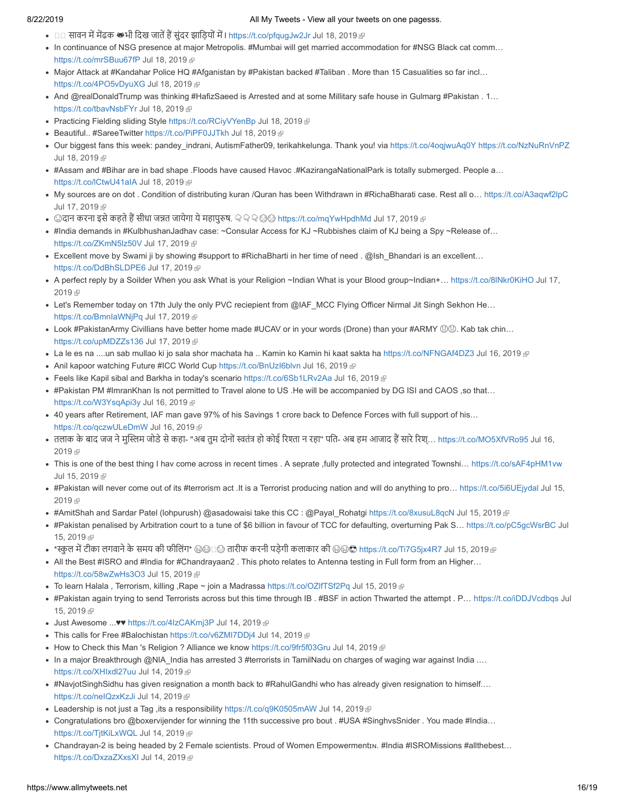- □□ सावन में मेंढक ➡भी दिख जातें हैं सुंदर झाड़ियों में I [https://t.co/pfqugJw2Jr](http://t.co/pfqugJw2Jr) [Jul 18, 2019](https://twitter.com/meghdootindia/status/1151856321227976704) @
- In continuance of NSG presence at major Metropolis. #Mumbai will get married accommodation for #NSG Black cat comm… [https://t.co/mrSBuu67fP](http://t.co/mrSBuu67fP) [Jul 18, 2019](https://twitter.com/meghdootindia/status/1151854625630253056) 图
- Major Attack at #Kandahar Police HQ #Afganistan by #Pakistan backed #Taliban . More than 15 Casualities so far incl… [https://t.co/4PO5vDyuXG](http://t.co/4PO5vDyuXG) [Jul 18, 2019](https://twitter.com/meghdootindia/status/1151850756435136512) 图
- And @realDonaldTrump was thinking #HafizSaeed is Arrested and at some Millitary safe house in Gulmarg #Pakistan . 1… [https://t.co/tbavNsbFYr](http://t.co/tbavNsbFYr) [Jul 18, 2019](https://twitter.com/meghdootindia/status/1151844932702707712)
- Practicing Fielding sliding Style [https://t.co/RCiyVYenBp](http://t.co/RCiyVYenBp) [Jul 18, 2019](https://twitter.com/meghdootindia/status/1151842139648565248)
- Beautiful.. #SareeTwitter [https://t.co/PiPF0JJTkh](http://t.co/PiPF0JJTkh) [Jul 18, 2019](https://twitter.com/meghdootindia/status/1151834142767628290)
- Our biggest fans this week: pandey indrani, AutismFather09, terikahkelunga. Thank you! via [https://t.co/4oqjwuAq0Y](http://t.co/4oqjwuAq0Y) [https://t.co/NzNuRnVnPZ](http://t.co/NzNuRnVnPZ) [Jul 18, 2019](https://twitter.com/meghdootindia/status/1151695761001844737) @
- #Assam and #Bihar are in bad shape .Floods have caused Havoc .#KazirangaNationalPark is totally submerged. People a… [https://t.co/lCtwU41aIA](http://t.co/lCtwU41aIA) [Jul 18, 2019](https://twitter.com/meghdootindia/status/1151681305882398720) 图
- My sources are on dot . Condition of distributing kuran /Quran has been Withdrawn in #RichaBharati case. Rest all o… [https://t.co/A3aqwf2lpC](http://t.co/A3aqwf2lpC) [Jul 17, 2019](https://twitter.com/meghdootindia/status/1151473133385162753) @
- $\bullet \;\;$ ुदान करना इसे कहते हैं सीधा जन्नत जायेगा ये महापुरुष.  $\mathbb{Q}\oplus\mathbb{Q}$  [https://t.co/mqYwHpdhMd](http://t.co/mqYwHpdhMd) [Jul 17, 2019](https://twitter.com/meghdootindia/status/1151440303192072192)  $\mathbb{P}$
- #India demands in #KulbhushanJadhav case: ~Consular Access for KJ ~Rubbishes claim of KJ being a Spy ~Release of… [https://t.co/ZKmN5lz50V](http://t.co/ZKmN5lz50V) [Jul 17, 2019](https://twitter.com/meghdootindia/status/1151389049141256193)
- Excellent move by Swami ji by showing #support to #RichaBharti in her time of need . @Ish\_Bhandari is an excellent… [https://t.co/DdBhSLDPE6](http://t.co/DdBhSLDPE6) [Jul 17, 2019](https://twitter.com/meghdootindia/status/1151385573694697472) @
- A perfect reply by a Soilder When you ask What is your Religion ~Indian What is your Blood group~Indian+... https://t.co/8lNkr0KiHO Jul 17, 2019
- Let's Remember today on 17th July the only PVC reciepient from @IAF\_MCC Flying Officer Nirmal Jit Singh Sekhon He... [https://t.co/BmnIaWNjPq](http://t.co/BmnIaWNjPq) [Jul 17, 2019](https://twitter.com/meghdootindia/status/1151362938680139776) 图
- Look #PakistanArmy Civillians have better home made #UCAV or in your words (Drone) than your #ARMY @@. Kab tak chin... [https://t.co/upMDZZs136](http://t.co/upMDZZs136) [Jul 17, 2019](https://twitter.com/meghdootindia/status/1151349376423350272)
- La le es na ....un sab mullao ki jo sala shor machata ha .. Kamin ko Kamin hi kaat sakta ha [https://t.co/NFNGAf4DZ3](http://t.co/NFNGAf4DZ3) [Jul 16, 2019](https://twitter.com/meghdootindia/status/1151160003291598848) @
- Anil kapoor watching Future #ICC World Cup [https://t.co/BnUzI6blvn](http://t.co/BnUzI6blvn) [Jul 16, 2019](https://twitter.com/meghdootindia/status/1151157152448335872) @
- Feels like Kapil sibal and Barkha in today's scenario [https://t.co/6Sb1LRv2Aa](http://t.co/6Sb1LRv2Aa) [Jul 16, 2019](https://twitter.com/meghdootindia/status/1151153899450974208) @
- #Pakistan PM #ImranKhan Is not permitted to Travel alone to US .He will be accompanied by DG ISI and CAOS ,so that… [https://t.co/W3YsqApi3y](http://t.co/W3YsqApi3y) [Jul 16, 2019](https://twitter.com/meghdootindia/status/1151127556457807872)
- 40 years after Retirement, IAF man gave 97% of his Savings 1 crore back to Defence Forces with full support of his… [https://t.co/qczwULeDmW](http://t.co/qczwULeDmW) [Jul 16, 2019](https://twitter.com/meghdootindia/status/1151096144425967616)
- तलाक के बाद जज ने मुस्लिम जोडे से कहा- "अब तुम दोनों स्वतंत्र हो कोई रिश्ता न रहा" पति- अब हम आजाद हैं सारे रिश[… https://t.co/MO5XfVRo95](https://twitter.com/meghdootindia/status/1151074475099582464) Jul 16, 2019 图
- This is one of the best thing I hav come across in recent times . A seprate ,fully protected and integrated Townshi... [https://t.co/sAF4pHM1vw](http://t.co/sAF4pHM1vw) [Jul 15, 2019](https://twitter.com/meghdootindia/status/1150846859969089536) &
- [#Pakistan will never come out of its #terrorism act .It is a Terrorist producing nation and will do anything to pro… https://t.co/5i6UEjydal](https://twitter.com/meghdootindia/status/1150773383715360773) Jul 15, 2019
- #AmitShah and Sardar Patel (lohpurush) @asadowaisi take this CC : @Payal\_Rohatgi [https://t.co/8xusuL8qcN](http://t.co/8xusuL8qcN) [Jul 15, 2019](https://twitter.com/meghdootindia/status/1150770205166956545) @
- [#Pakistan penalised by Arbitration court to a tune of \\$6 billion in favour of TCC for defaulting, overturning Pak S… https://t.co/pC5gcWsrBC](https://twitter.com/meghdootindia/status/1150724342231134208) Jul 15, 2019
- \*स्कुल में टीका लगवाने के समय की फीलिंग\* ⊕⊜ा⊜ तारीफ करनी पड़ेगी कलाकार की ⊕⊜© [https://t.co/Ti7G5jx4R7](http://t.co/Ti7G5jx4R7) [Jul 15, 2019](https://twitter.com/meghdootindia/status/1150679614961811456) @
- All the Best #ISRO and #India for #Chandrayaan2 . This photo relates to Antenna testing in Full form from an Higher... [https://t.co/58wZwHs3O3](http://t.co/58wZwHs3O3) [Jul 15, 2019](https://twitter.com/meghdootindia/status/1150626664876933122) @
- To learn Halala , Terrorism, killing , Rape ~ join a Madrassa https://t.co/OZIfTSf2Pq [Jul 15, 2019](https://twitter.com/meghdootindia/status/1150624657503993856)  $\oplus$
- [#Pakistan again trying to send Terrorists across but this time through IB . #BSF in action Thwarted the attempt . P… https://t.co/iDDJVcdbqs](https://twitter.com/meghdootindia/status/1150621714310524933) Jul 15, 2019
- Just Awesome ...♥♥ [https://t.co/4IzCAKmj3P](http://t.co/4IzCAKmj3P) [Jul 14, 2019](https://twitter.com/meghdootindia/status/1150454371227799552) @
- This calls for Free #Balochistan [https://t.co/v6ZMI7DDj4](http://t.co/v6ZMI7DDj4) [Jul 14, 2019](https://twitter.com/meghdootindia/status/1150431807264833536) @
- $\bullet$  How to Check this Man 's Religion ? Alliance we know [https://t.co/9fr5f03Gru](http://t.co/9fr5f03Gru) [Jul 14, 2019](https://twitter.com/meghdootindia/status/1150429725451378689)  $\circledR$
- In a major Breakthrough @NIA\_India has arrested 3 #terrorists in TamilNadu on charges of waging war against India .... [https://t.co/XHIxdl27uu](http://t.co/XHIxdl27uu) [Jul 14, 2019](https://twitter.com/meghdootindia/status/1150410270742761473)
- #NavjotSinghSidhu has given resignation a month back to #RahulGandhi who has already given resignation to himself.… [https://t.co/neIQzxKzJi](http://t.co/neIQzxKzJi) [Jul 14, 2019](https://twitter.com/meghdootindia/status/1150387398624210944)
- Leadership is not just a Tag , its a responsibility [https://t.co/q9K0505mAW](http://t.co/q9K0505mAW) [Jul 14, 2019](https://twitter.com/meghdootindia/status/1150345872166682624)  $\Phi$
- Congratulations bro @boxervijender for winning the 11th successive pro bout . #USA #SinghvsSnider . You made #India… [https://t.co/TjtKiLxWQL](http://t.co/TjtKiLxWQL) [Jul 14, 2019](https://twitter.com/meghdootindia/status/1150344104787599362) 图
- Chandrayan-2 is being headed by 2 Female scientists. Proud of Women Empowermentrn. #India #ISROMissions #allthebest... [https://t.co/DxzaZXxsXI](http://t.co/DxzaZXxsXI) [Jul 14, 2019](https://twitter.com/meghdootindia/status/1150341735546945536)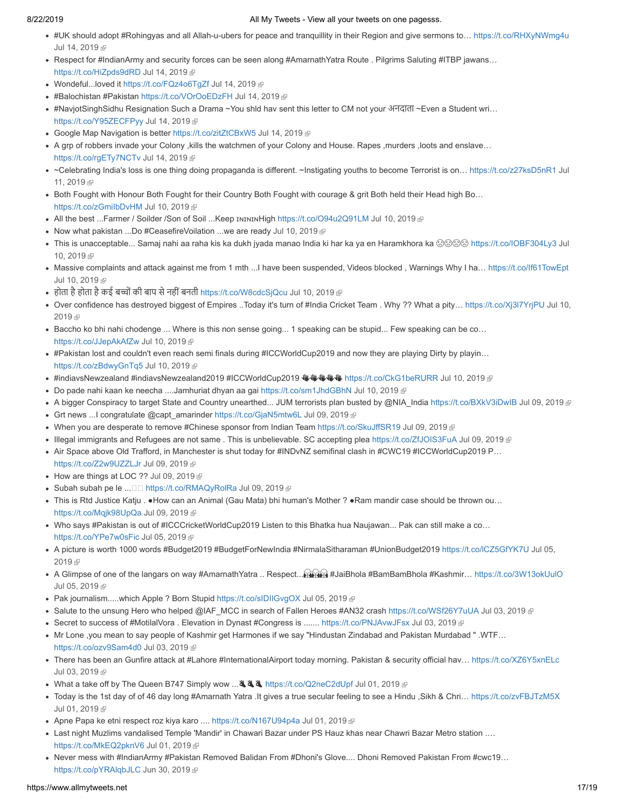- #UK should adopt #Rohingyas and all Allah-u-ubers for peace and tranquillity in their Region and give sermons to… [https://t.co/RHXyNWmg4u](http://t.co/RHXyNWmg4u) [Jul 14, 2019](https://twitter.com/meghdootindia/status/1150334921317048320) &
- Respect for #IndianArmy and security forces can be seen along #AmarnathYatra Route . Pilgrims Saluting #ITBP jawans… [https://t.co/HiZpds9dRD](http://t.co/HiZpds9dRD) [Jul 14, 2019](https://twitter.com/meghdootindia/status/1150332891018088448)
- Wondeful...loved it [https://t.co/FQz4o6TgZf](http://t.co/FQz4o6TgZf) [Jul 14, 2019](https://twitter.com/meghdootindia/status/1150324944414232579)
- #Balochistan #Pakistan [https://t.co/VOrOoEDzFH](http://t.co/VOrOoEDzFH) [Jul 14, 2019](https://twitter.com/meghdootindia/status/1150317206338596864) @
- #NavjotSinghSidhu Resignation Such a Drama ~You shld hav sent this letter to CM not your अनदाता ~Even a Student wri… [https://t.co/Y95ZECFPyy](http://t.co/Y95ZECFPyy) [Jul 14, 2019](https://twitter.com/meghdootindia/status/1150315998815252480) 图
- Google Map Navigation is better [https://t.co/zitZtCBxW5](http://t.co/zitZtCBxW5) [Jul 14, 2019](https://twitter.com/meghdootindia/status/1150310592034377728)
- A grp of robbers invade your Colony ,kills the watchmen of your Colony and House. Rapes ,murders ,loots and enslave… [https://t.co/rgETy7NCTv](http://t.co/rgETy7NCTv) [Jul 14, 2019](https://twitter.com/meghdootindia/status/1150283265342709761) ®
- [~Celebrating India's loss is one thing doing propaganda is different. ~Instigating youths to become Terrorist is on… https://t.co/z27ksD5nR1](https://twitter.com/meghdootindia/status/1149183981792813056) Jul 11, 2019
- Both Fought with Honour Both Fought for their Country Both Fought with courage & grit Both held their Head high Bo… [https://t.co/zGmiIbDvHM](http://t.co/zGmiIbDvHM) [Jul 10, 2019](https://twitter.com/meghdootindia/status/1148999815625203717)
- All the best ...Farmer / Soilder /Son of Soil ...Keep INININHigh [https://t.co/O94u2Q91LM](http://t.co/O94u2Q91LM) [Jul 10, 2019](https://twitter.com/meghdootindia/status/1148968828824502272) ®
- Now what pakistan ...Do #CeasefireVoilation ...we are ready [Jul 10, 2019](https://twitter.com/meghdootindia/status/1148963757776728064) @
- [This is unacceptable... Samaj nahi aa raha kis ka dukh jyada manao India ki har ka ya en Haramkhora ka](https://twitter.com/meghdootindia/status/1148961362770448385) ☺☺☺☺ [https://t.co/IOBF304Ly3](http://t.co/IOBF304Ly3) Jul 10, 2019
- Massive complaints and attack against me from 1 mth ...I have been suspended, Videos blocked, Warnings Why I ha... [https://t.co/If61TowEpt](http://t.co/If61TowEpt) [Jul 10, 2019](https://twitter.com/meghdootindia/status/1148957078452502528) @
- होता है होता है कई बच्चों की बाप से नहीं बनती [https://t.co/W8cdcSjQcu](http://t.co/W8cdcSjQcu) [Jul 10, 2019](https://twitter.com/meghdootindia/status/1148931498575192065) @
- [Over confidence has destroyed biggest of Empires ..Today it's turn of #India Cricket Team . Why ?? What a pity… https://t.co/Xj3l7YrjPU](https://twitter.com/meghdootindia/status/1148926441817423872) Jul 10, 2019 雨
- Baccho ko bhi nahi chodenge ... Where is this non sense going... 1 speaking can be stupid... Few speaking can be co… [https://t.co/JJepAkAfZw](http://t.co/JJepAkAfZw) [Jul 10, 2019](https://twitter.com/meghdootindia/status/1148866394382974976) 图
- #Pakistan lost and couldn't even reach semi finals during #ICCWorldCup2019 and now they are playing Dirty by playin… [https://t.co/zBdwyGnTq5](http://t.co/zBdwyGnTq5) [Jul 10, 2019](https://twitter.com/meghdootindia/status/1148858719624548352)
- #indiavsNewzealand #indiavsNewzealand2019 #ICCWorldCup2019 VVVVVVV [https://t.co/CkG1beRURR](http://t.co/CkG1beRURR) [Jul 10, 2019](https://twitter.com/meghdootindia/status/1148833390478499840) @
- Do pade nahi kaan ke neecha ....Jamhuriat dhyan aa gai [https://t.co/sm1JhdGBhN](http://t.co/sm1JhdGBhN) [Jul 10, 2019](https://twitter.com/meghdootindia/status/1148814484175114240) *™*
- A bigger Conspiracy to target State and Country unearthed... JUM terrorists plan busted by @NIA\_India [https://t.co/BXkV3iDwIB](http://t.co/BXkV3iDwIB) [Jul 09, 2019](https://twitter.com/meghdootindia/status/1148641387232890880)
- Grt news ...I congratulate @capt\_amarinder [https://t.co/GjaN5mtw6L](http://t.co/GjaN5mtw6L) [Jul 09, 2019](https://twitter.com/meghdootindia/status/1148627367469780992)
- When you are desperate to remove #Chinese sponsor from Indian Team [https://t.co/SkuJffSR19](http://t.co/SkuJffSR19) [Jul 09, 2019](https://twitter.com/meghdootindia/status/1148622954046955521)
- Illegal immigrants and Refugees are not same . This is unbelievable. SC accepting plea [https://t.co/ZfJOIS3FuA](http://t.co/ZfJOIS3FuA) [Jul 09, 2019](https://twitter.com/meghdootindia/status/1148620980207542273)  $\circledcirc$
- Air Space above Old Trafford, in Manchester is shut today for #INDvNZ semifinal clash in #CWC19 #ICCWorldCup2019 P… [https://t.co/Z2w9UZZLJr](http://t.co/Z2w9UZZLJr) [Jul 09, 2019](https://twitter.com/meghdootindia/status/1148615054234771456) 图
- $\bullet$  How are things at LOC ?? [Jul 09, 2019](https://twitter.com/meghdootindia/status/1148610671644274688)  $\textcircled{F}$
- $\bullet$  Subah subah pe le ...  $\Box$  [https://t.co/RMAQyRolRa](http://t.co/RMAQyRolRa) [Jul 09, 2019](https://twitter.com/meghdootindia/status/1148606638779240449)
- This is Rtd Justice Katju . ●How can an Animal (Gau Mata) bhi human's Mother ? ●Ram mandir case should be thrown ou… [https://t.co/Mqjk98UpQa](http://t.co/Mqjk98UpQa) [Jul 09, 2019](https://twitter.com/meghdootindia/status/1148506205309960193)
- Who says #Pakistan is out of #ICCCricketWorldCup2019 Listen to this Bhatka hua Naujawan... Pak can still make a co… [https://t.co/YPe7w0sFic](http://t.co/YPe7w0sFic) [Jul 05, 2019](https://twitter.com/meghdootindia/status/1147070872697503744) 图
- [A picture is worth 1000 words #Budget2019 #BudgetForNewIndia #NirmalaSitharaman #UnionBudget2019 https://t.co/lCZ5GfYK7U](https://twitter.com/meghdootindia/status/1147067852941172741) Jul 05, 2019 雨
- A Glimpse of one of the langars on way #AmarnathYatra .. Respect... **@@@**#JaiBhola #BamBamBhola #Kashmir... [https://t.co/3W13okUulO](http://t.co/3W13okUulO) [Jul 05, 2019](https://twitter.com/meghdootindia/status/1147055434559152128) @
- Pak journalism.....which Apple ? Born Stupid [https://t.co/sIDIIGvgOX](http://t.co/sIDIIGvgOX) [Jul 05, 2019](https://twitter.com/meghdootindia/status/1146960647386611712) @
- Salute to the unsung Hero who helped @IAF\_MCC in search of Fallen Heroes #AN32 crash [https://t.co/WSf26Y7uUA](http://t.co/WSf26Y7uUA) [Jul 03, 2019](https://twitter.com/meghdootindia/status/1146428767989977088) @
- Secret to success of #MotilalVora . Elevation in Dynast #Congress is ....... [https://t.co/PNJAvwJFsx](http://t.co/PNJAvwJFsx) [Jul 03, 2019](https://twitter.com/meghdootindia/status/1146407679226572801) ®
- Mr Lone ,you mean to say people of Kashmir get Harmones if we say "Hindustan Zindabad and Pakistan Murdabad " .WTF… [https://t.co/ozv9Sam4d0](http://t.co/ozv9Sam4d0) [Jul 03, 2019](https://twitter.com/meghdootindia/status/1146380121713958913)
- There has been an Gunfire attack at #Lahore #InternationalAirport today morning. Pakistan & security official hav… [https://t.co/XZ6Y5xnELc](http://t.co/XZ6Y5xnELc) [Jul 03, 2019](https://twitter.com/meghdootindia/status/1146306905620414465) @
- What a take off by The Queen B747 Simply wow ... 4. 4. [https://t.co/Q2neC2dUpf](http://t.co/Q2neC2dUpf) [Jul 01, 2019](https://twitter.com/meghdootindia/status/1145768307414278145) @
- Today is the 1st day of of 46 day long #Amarnath Yatra .It gives a true secular feeling to see a Hindu ,Sikh & Chri… [https://t.co/zvFBJTzM5X](http://t.co/zvFBJTzM5X) [Jul 01, 2019](https://twitter.com/meghdootindia/status/1145705567589027846)
- Apne Papa ke etni respect roz kiya karo .... [https://t.co/N167U94p4a](http://t.co/N167U94p4a) [Jul 01, 2019](https://twitter.com/meghdootindia/status/1145702887873372160)  $\mathbb{F}$
- Last night Muzlims vandalised Temple 'Mandir' in Chawari Bazar under PS Hauz khas near Chawri Bazar Metro station .… [https://t.co/MkEQ2pknV6](http://t.co/MkEQ2pknV6) [Jul 01, 2019](https://twitter.com/meghdootindia/status/1145689896528437248) 图
- Never mess with #IndianArmy #Pakistan Removed Balidan From #Dhoni's Glove.... Dhoni Removed Pakistan From #cwc19… [https://t.co/pYRAlqbJLC](http://t.co/pYRAlqbJLC) [Jun 30, 2019](https://twitter.com/meghdootindia/status/1145421290288717824)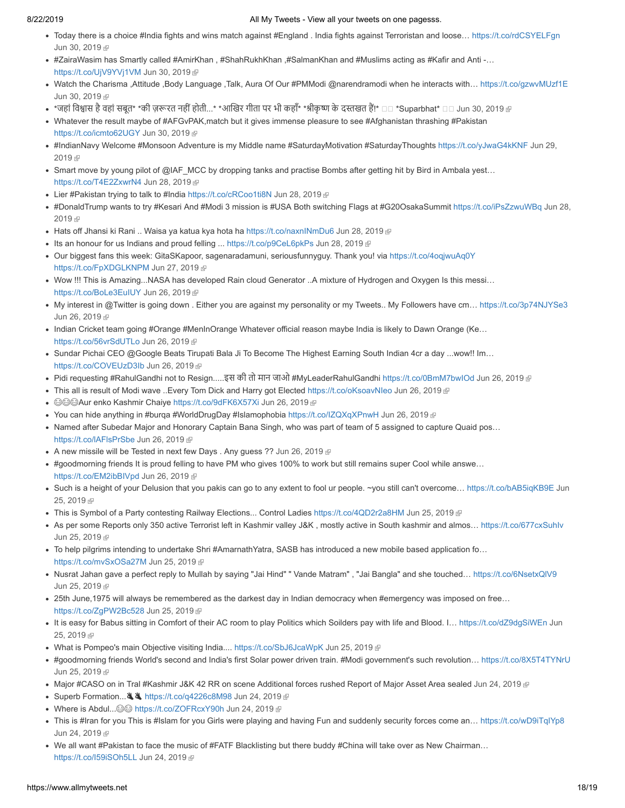- Today there is a choice #India fights and wins match against #England . India fights against Terroristan and loose… [https://t.co/rdCSYELFgn](http://t.co/rdCSYELFgn) [Jun 30, 2019](https://twitter.com/meghdootindia/status/1145250785749422080) @
- #ZairaWasim has Smartly called #AmirKhan , #ShahRukhKhan ,#SalmanKhan and #Muslims acting as #Kafir and Anti -… [https://t.co/UjV9YVj1VM](http://t.co/UjV9YVj1VM) [Jun 30, 2019](https://twitter.com/meghdootindia/status/1145246450403573760)
- Watch the Charisma ,Attitude ,Body Language ,Talk, Aura Of Our #PMModi @narendramodi when he interacts with… [https://t.co/gzwvMUzf1E](http://t.co/gzwvMUzf1E) [Jun 30, 2019](https://twitter.com/meghdootindia/status/1145241211873058817) @
- \*जहां विश्वास है वहां सबत\* \*की ज़रूरत नहीं होती…\* \*आखिर गीता पर भी कहाँ\* \*श्रीकृष्ण के दस्तखत हैं!\* □□ \*Suparbhat\* □□ [Jun 30, 2019](https://twitter.com/meghdootindia/status/1145192868576804865) ☞
- Whatever the result maybe of #AFGvPAK,match but it gives immense pleasure to see #Afghanistan thrashing #Pakistan [https://t.co/icmto62UGY](http://t.co/icmto62UGY) [Jun 30, 2019](https://twitter.com/meghdootindia/status/1145180743246573568)
- [#IndianNavy Welcome #Monsoon Adventure is my Middle name #SaturdayMotivation #SaturdayThoughts https://t.co/yJwaG4kKNF](https://twitter.com/meghdootindia/status/1144794015671312385) Jun 29, 2019
- Smart move by young pilot of @IAF\_MCC by dropping tanks and practise Bombs after getting hit by Bird in Ambala yest... [https://t.co/T4E2ZxwrN4](http://t.co/T4E2ZxwrN4) [Jun 28, 2019](https://twitter.com/meghdootindia/status/1144632090702385154) @
- Lier #Pakistan trying to talk to #India [https://t.co/cRCoo1ti8N](http://t.co/cRCoo1ti8N) [Jun 28, 2019](https://twitter.com/meghdootindia/status/1144619606230745088)
- [#DonaldTrump wants to try #Kesari And #Modi 3 mission is #USA Both switching Flags at #G20OsakaSummit https://t.co/iPsZzwuWBq](https://twitter.com/meghdootindia/status/1144576212838187008) Jun 28, 2019 雨
- Hats off Jhansi ki Rani .. Waisa ya katua kya hota ha https://t.co/naxnlNmDu6 [Jun 28, 2019](https://twitter.com/meghdootindia/status/1144565850252312577)  $\mathbb F$
- Its an honour for us Indians and proud felling ... [https://t.co/p9CeL6pkPs](http://t.co/p9CeL6pkPs) [Jun 28, 2019](https://twitter.com/meghdootindia/status/1144509863424167937)
- Our biggest fans this week: GitaSKapoor, sagenaradamuni, seriousfunnyguy. Thank you! via [https://t.co/4oqjwuAq0Y](http://t.co/4oqjwuAq0Y) [https://t.co/FpXDGLKNPM](http://t.co/FpXDGLKNPM) [Jun 27, 2019](https://twitter.com/meghdootindia/status/1144085622447116288)
- Wow !!! This is Amazing...NASA has developed Rain cloud Generator ..A mixture of Hydrogen and Oxygen Is this messi… [https://t.co/BoLe3EuIUY](http://t.co/BoLe3EuIUY) [Jun 26, 2019](https://twitter.com/meghdootindia/status/1143948671832059905)
- My interest in @Twitter is going down . Either you are against my personality or my Tweets.. My Followers have cm... [https://t.co/3p74NJYSe3](http://t.co/3p74NJYSe3) [Jun 26, 2019](https://twitter.com/meghdootindia/status/1143934761603219456) @
- Indian Cricket team going #Orange #MenInOrange Whatever official reason maybe India is likely to Dawn Orange (Ke… [https://t.co/56vrSdUTLo](http://t.co/56vrSdUTLo) [Jun 26, 2019](https://twitter.com/meghdootindia/status/1143835142818951169) 图
- Sundar Pichai CEO @Google Beats Tirupati Bala Ji To Become The Highest Earning South Indian 4cr a day ...wow!! Im… https://t.co/COVEUzD3lb [Jun 26, 2019](https://twitter.com/meghdootindia/status/1143831392800788480)
- Pidi requesting #RahulGandhi not to Resign.....इस की तो मान जाओ #MyLeaderRahulGandhi [https://t.co/0BmM7bwIOd](http://t.co/0BmM7bwIOd) [Jun 26, 2019](https://twitter.com/meghdootindia/status/1143825793816002560)
- This all is result of Modi wave ..Every Tom Dick and Harry got Elected [https://t.co/oKsoavNIeo](http://t.co/oKsoavNIeo) [Jun 26, 2019](https://twitter.com/meghdootindia/status/1143800620320616448) @
- ©©©Aur enko Kashmir Chaiye [https://t.co/9dFK6X57Xi](http://t.co/9dFK6X57Xi) [Jun 26, 2019](https://twitter.com/meghdootindia/status/1143795930509873152) @
- You can hide anything in #burqa #WorldDrugDay #Islamophobia [https://t.co/IZQXqXPnwH](http://t.co/IZQXqXPnwH) [Jun 26, 2019](https://twitter.com/meghdootindia/status/1143782191333167105) ®
- Named after Subedar Major and Honorary Captain Bana Singh, who was part of team of 5 assigned to capture Quaid pos... https://t.co/IAFIsPrSbe [Jun 26, 2019](https://twitter.com/meghdootindia/status/1143765719445676032)
- $\bullet$  A new missile will be Tested in next few Days . Any guess ?? [Jun 26, 2019](https://twitter.com/meghdootindia/status/1143754169641291777)  $\bullet$
- #goodmorning friends It is proud felling to have PM who gives 100% to work but still remains super Cool while answe… [https://t.co/EM2ibBIVpd](http://t.co/EM2ibBIVpd) [Jun 26, 2019](https://twitter.com/meghdootindia/status/1143721737218973696) 图
- Such is a height of your Delusion that you pakis can go to any extent to fool ur people. ~you still can't overcome... https://t.co/bAB5iqKB9E Jun 25, 2019 图
- This is Symbol of a Party contesting Railway Elections... Control Ladies [https://t.co/4QD2r2a8HM](http://t.co/4QD2r2a8HM) [Jun 25, 2019](https://twitter.com/meghdootindia/status/1143578352852193280) @
- As per some Reports only 350 active Terrorist left in Kashmir valley J&K , mostly active in South kashmir and almos… [https://t.co/677cxSuhIv](http://t.co/677cxSuhIv) [Jun 25, 2019](https://twitter.com/meghdootindia/status/1143573518283526144) @
- To help pilgrims intending to undertake Shri #AmarnathYatra, SASB has introduced a new mobile based application fo… [https://t.co/mvSxOSa27M](http://t.co/mvSxOSa27M) [Jun 25, 2019](https://twitter.com/meghdootindia/status/1143541326383726597) @
- Nusrat Jahan gave a perfect reply to Mullah by saying "Jai Hind" " Vande Matram", "Jai Bangla" and she touched... [https://t.co/6NsetxQlV9](http://t.co/6NsetxQlV9) [Jun 25, 2019](https://twitter.com/meghdootindia/status/1143489416855318528) @
- 25th June,1975 will always be remembered as the darkest day in Indian democracy when #emergency was imposed on free… [https://t.co/ZgPW2Bc528](http://t.co/ZgPW2Bc528) [Jun 25, 2019](https://twitter.com/meghdootindia/status/1143480080770973696)
- It is easy for Babus sitting in Comfort of their AC room to play Politics which Soilders pay with life and Blood. I... https://t.co/dZ9dgSiWEn Jun 25, 2019 图
- What is Pompeo's main Objective visiting India.... [https://t.co/SbJ6JcaWpK](http://t.co/SbJ6JcaWpK) [Jun 25, 2019](https://twitter.com/meghdootindia/status/1143393535950872576)  $\oplus$
- #goodmorning friends World's second and India's first Solar power driven train. #Modi government's such revolution… [https://t.co/8X5T4TYNrU](http://t.co/8X5T4TYNrU) [Jun 25, 2019](https://twitter.com/meghdootindia/status/1143359409503920129) @
- Major #CASO on in Tral #Kashmir J&K 42 RR on scene Additional forces rushed Report of Major Asset Area sealed [Jun 24, 2019](https://twitter.com/meghdootindia/status/1143216521952411649) @
- Superb Formation... & & [https://t.co/q4226c8M98](http://t.co/q4226c8M98) [Jun 24, 2019](https://twitter.com/meghdootindia/status/1143213133760045056) @
- Where is Abdul... . ig [https://t.co/ZOFRcxY90h](http://t.co/ZOFRcxY90h) [Jun 24, 2019](https://twitter.com/meghdootindia/status/1143208600329867264) a
- This is #Iran for you This is #Islam for you Girls were playing and having Fun and suddenly security forces come an... https://t.co/wD9iTqlYp8 [Jun 24, 2019](https://twitter.com/meghdootindia/status/1143188138304495616) @
- We all want #Pakistan to face the music of #FATF Blacklisting but there buddy #China will take over as New Chairman… [https://t.co/I59iSOh5LL](http://t.co/I59iSOh5LL) [Jun 24, 2019](https://twitter.com/meghdootindia/status/1143176652274327552)